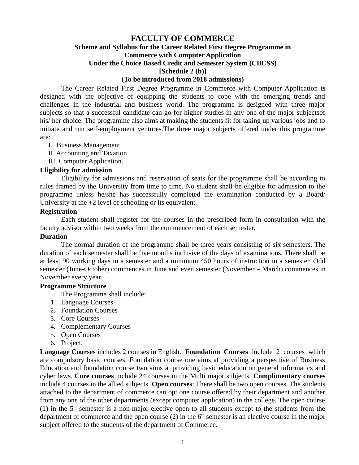## **FACULTY OF COMMERCE Scheme and Syllabus for the Career Related First Degree Programme in Commerce with Computer Application Under the Choice Based Credit and Semester System (CBCSS) [Schedule 2 (b)] (To be introduced from 2018 admissions)**

The Career Related First Degree Programme in Commerce with Computer Application **is** designed with the objective of equipping the students to cope with the emerging trends and challenges in the industrial and business world. The programme is designed with three major subjects so that a successful candidate can go for higher studies in any one of the major subjectsof his/ her choice. The programme also aims at making the students fit for taking up various jobs and to initiate and run self-employment ventures.The three major subjects offered under this programme are:

I. Business Management

II. Accounting and Taxation

III. Computer Application.

#### **Eligibility for admission**

Eligibility for admissions and reservation of seats for the programme shall be according to rules framed by the University from time to time. No student shall be eligible for admission to the programme unless he/she has successfully completed the examination conducted by a Board/ University at the +2 level of schooling or its equivalent.

#### **Registration**

Each student shall register for the courses in the prescribed form in consultation with the faculty advisor within two weeks from the commencement of each semester.

#### **Duration**

The normal duration of the programme shall be three years consisting of six semesters. The duration of each semester shall be five months inclusive of the days of examinations. There shall be at least 90 working days in a semester and a minimum 450 hours of instruction in a semester. Odd semester (June-October) commences in June and even semester (November – March) commences in November every year.

#### **Programme Structure**

The Programme shall include:

- 1. Language Courses
- 2. Foundation Courses
- 3. Core Courses
- 4. Complementary Courses
- 5. Open Courses
- 6. Project.

**Language Courses** includes 2 courses in English. **Foundation Courses** include 2 courses which are compulsory basic courses. Foundation course one aims at providing a perspective of Business Education and foundation course two aims at providing basic education on general informatics and cyber laws. **Core courses** include 24 courses in the Multi major subjects. **Complimentary courses** include 4 courses in the allied subjects. **Open courses**: There shall be two open courses. The students attached to the department of commerce can opt one course offered by their department and another from any one of the other departments (except computer application) in the college. The open course (1) in the  $5<sup>th</sup>$  semester is a non-major elective open to all students except to the students from the department of commerce and the open course (2) in the  $6<sup>th</sup>$  semester is an elective course in the major subject offered to the students of the department of Commerce.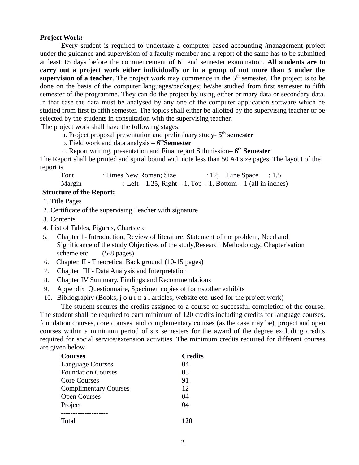#### **Project Work:**

Every student is required to undertake a computer based accounting /management project under the guidance and supervision of a faculty member and a report of the same has to be submitted at least 15 days before the commencement of 6<sup>th</sup> end semester examination. All students are to **carry out a project work either individually or in a group of not more than 3 under the** supervision of a teacher. The project work may commence in the 5<sup>th</sup> semester. The project is to be done on the basis of the computer languages/packages; he/she studied from first semester to fifth semester of the programme. They can do the project by using either primary data or secondary data. In that case the data must be analysed by any one of the computer application software which he studied from first to fifth semester. The topics shall either be allotted by the supervising teacher or be selected by the students in consultation with the supervising teacher.

The project work shall have the following stages:

a. Project proposal presentation and preliminary study- **5 th semester**

b. Field work and data analysis – **6 thSemester**

c. Report writing, presentation and Final report Submission– **6 th Semester**

The Report shall be printed and spiral bound with note less than 50 A4 size pages. The layout of the report is

| Font   | : Times New Roman; Size                                               | $: 12;$ Line Space $: 1.5$ |  |
|--------|-----------------------------------------------------------------------|----------------------------|--|
| Margin | : Left $-$ 1.25, Right $-$ 1, Top $-$ 1, Bottom $-$ 1 (all in inches) |                            |  |

# **Structure of the Report:**

1. Title Pages

- 2. Certificate of the supervising Teacher with signature
- 3. Contents
- 4. List of Tables, Figures, Charts etc
- 5. Chapter 1- Introduction, Review of literature, Statement of the problem, Need and Significance of the study Objectives of the study,Research Methodology, Chapterisation scheme etc (5-8 pages)
- 6. Chapter II Theoretical Back ground (10-15 pages)
- 7. Chapter III Data Analysis and Interpretation
- 8. Chapter IV Summary, Findings and Recommendations
- 9. Appendix Questionnaire, Specimen copies of forms,other exhibits
- 10. Bibliography (Books, j o u r n a l articles, website etc. used for the project work)

The student secures the credits assigned to a course on successful completion of the course. The student shall be required to earn minimum of 120 credits including credits for language courses, foundation courses, core courses, and complementary courses (as the case may be), project and open courses within a minimum period of six semesters for the award of the degree excluding credits required for social service/extension activities. The minimum credits required for different courses are given below.

| Courses                      | <b>Credits</b> |
|------------------------------|----------------|
| <b>Language Courses</b>      | 04             |
| <b>Foundation Courses</b>    | 05             |
| Core Courses                 | 91             |
| <b>Complimentary Courses</b> | 12             |
| <b>Open Courses</b>          | 04             |
| Project                      | 04             |
|                              |                |
| Total                        | 170            |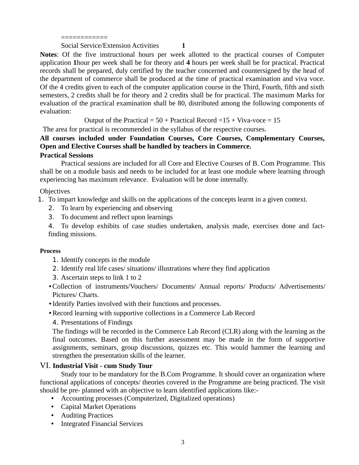============

Social Service/Extension Activities **1**

**Notes**: Of the five instructional hours per week allotted to the practical courses of Computer application **1**hour per week shall be for theory and **4** hours per week shall be for practical. Practical records shall be prepared, duly certified by the teacher concerned and countersigned by the head of the department of commerce shall be produced at the time of practical examination and viva voce. Of the 4 credits given to each of the computer application course in the Third, Fourth, fifth and sixth semesters, 2 credits shall be for theory and 2 credits shall be for practical. The maximum Marks for evaluation of the practical examination shall be 80, distributed among the following components of evaluation:

Output of the Practical =  $50 +$  Practical Record =  $15 +$  Viva-voce =  $15$ 

The area for practical is recommended in the syllabus of the respective courses.

## **All courses included under Foundation Courses, Core Courses, Complementary Courses, Open and Elective Courses shall be handled by teachers in Commerce.**

## **Practical Sessions**

Practical sessions are included for all Core and Elective Courses of B. Com Programme. This shall be on a module basis and needs to be included for at least one module where learning through experiencing has maximum relevance. Evaluation will be done internally.

## **Objectives**

1. To impart knowledge and skills on the applications of the concepts learnt in a given context.

- 2. To learn by experiencing and observing
- 3. To document and reflect upon learnings

4. To develop exhibits of case studies undertaken, analysis made, exercises done and factfinding missions.

## **Process**

- 1. Identify concepts in the module
- 2. Identify real life cases/ situations/ illustrations where they find application
- 3. Ascertain steps to link 1 to 2
- Collection of instruments/Vouchers/ Documents/ Annual reports/ Products/ Advertisements/ Pictures/ Charts.
- Identify Parties involved with their functions and processes.
- Record learning with supportive collections in a Commerce Lab Record
	- 4. Presentations of Findings

The findings will be recorded in the Commerce Lab Record (CLR) along with the learning as the final outcomes. Based on this further assessment may be made in the form of supportive assignments, seminars, group discussions, quizzes etc. This would hammer the learning and strengthen the presentation skills of the learner.

## VI. **Industrial Visit - cum Study Tour**

Study tour to be mandatory for the B.Com Programme. It should cover an organization where functional applications of concepts/ theories covered in the Programme are being practiced. The visit should be pre- planned with an objective to learn identified applications like:-

- Accounting processes (Computerized, Digitalized operations)
- Capital Market Operations
- Auditing Practices
- Integrated Financial Services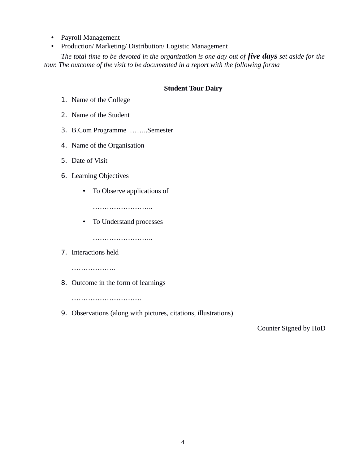- Payroll Management
- Production/ Marketing/ Distribution/ Logistic Management

*The total time to be devoted in the organization is one day out of five days set aside for the tour. The outcome of the visit to be documented in a report with the following forma*

## **Student Tour Dairy**

- 1. Name of the College
- 2. Name of the Student
- 3. B.Com Programme ……..Semester
- 4. Name of the Organisation
- 5. Date of Visit
- 6. Learning Objectives
	- To Observe applications of

………………………

• To Understand processes

……………………..

7. Interactions held

…………………

8. Outcome in the form of learnings

…………………………………

9. Observations (along with pictures, citations, illustrations)

Counter Signed by HoD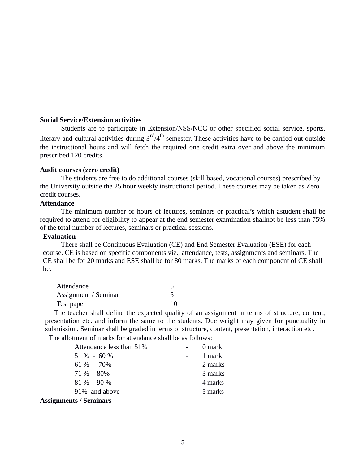#### **Social Service/Extension activities**

Students are to participate in Extension/NSS/NCC or other specified social service, sports, literary and cultural activities during  $3<sup>rd</sup>/4<sup>th</sup>$  semester. These activities have to be carried out outside the instructional hours and will fetch the required one credit extra over and above the minimum prescribed 120 credits.

#### **Audit courses (zero credit)**

The students are free to do additional courses (skill based, vocational courses) prescribed by the University outside the 25 hour weekly instructional period. These courses may be taken as Zero credit courses.

#### **Attendance**

The minimum number of hours of lectures, seminars or practical's which astudent shall be required to attend for eligibility to appear at the end semester examination shallnot be less than 75% of the total number of lectures, seminars or practical sessions.

#### **Evaluation**

There shall be Continuous Evaluation (CE) and End Semester Evaluation (ESE) for each course. CE is based on specific components viz., attendance, tests, assignments and seminars. The CE shall be for 20 marks and ESE shall be for 80 marks. The marks of each component of CE shall be:

| Attendance           |    |
|----------------------|----|
| Assignment / Seminar |    |
| Test paper           | 10 |

The teacher shall define the expected quality of an assignment in terms of structure, content, presentation etc. and inform the same to the students. Due weight may given for punctuality in submission. Seminar shall be graded in terms of structure, content, presentation, interaction etc.

The allotment of marks for attendance shall be as follows:

| Attendance less than 51% | 0 mark  |
|--------------------------|---------|
| $51\% - 60\%$            | 1 mark  |
| $61\% - 70\%$            | 2 marks |
| $71\% - 80\%$            | 3 marks |
| $81\% - 90\%$            | 4 marks |
| 91% and above            | 5 marks |
|                          |         |

#### **Assignments / Seminars**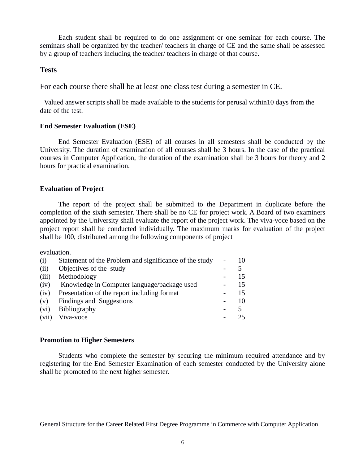Each student shall be required to do one assignment or one seminar for each course. The seminars shall be organized by the teacher/ teachers in charge of CE and the same shall be assessed by a group of teachers including the teacher/ teachers in charge of that course.

### **Tests**

For each course there shall be at least one class test during a semester in CE.

Valued answer scripts shall be made available to the students for perusal within10 days from the date of the test.

#### **End Semester Evaluation (ESE)**

End Semester Evaluation (ESE) of all courses in all semesters shall be conducted by the University. The duration of examination of all courses shall be 3 hours. In the case of the practical courses in Computer Application, the duration of the examination shall be 3 hours for theory and 2 hours for practical examination.

## **Evaluation of Project**

The report of the project shall be submitted to the Department in duplicate before the completion of the sixth semester. There shall be no CE for project work. A Board of two examiners appointed by the University shall evaluate the report of the project work. The viva-voce based on the project report shall be conducted individually. The maximum marks for evaluation of the project shall be 100, distributed among the following components of project

evaluation.

| (i)   | Statement of the Problem and significance of the study | 10 |
|-------|--------------------------------------------------------|----|
| (ii)  | Objectives of the study                                |    |
| (iii) | Methodology                                            | 15 |
| (iv)  | Knowledge in Computer language/package used            | 15 |
| (iv)  | Presentation of the report including format            | 15 |
| (v)   | Findings and Suggestions                               | 10 |
| (vi)  | <b>Bibliography</b>                                    |    |
| (vii) | Viva-voce                                              | 25 |

#### **Promotion to Higher Semesters**

Students who complete the semester by securing the minimum required attendance and by registering for the End Semester Examination of each semester conducted by the University alone shall be promoted to the next higher semester.

General Structure for the Career Related First Degree Programme in Commerce with Computer Application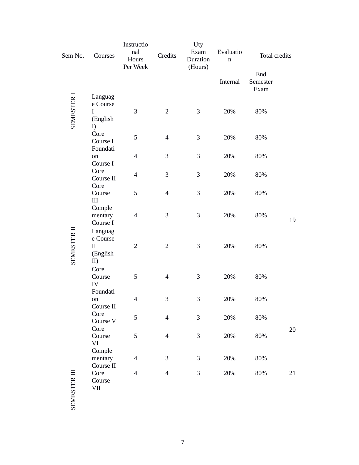| Sem No.            | Courses                                     | Instructio<br>nal<br>Hours<br>Per Week | Credits        | Uty<br>Exam<br>Duration<br>(Hours) | Evaluatio<br>$\mathbf n$ | Total credits           |    |
|--------------------|---------------------------------------------|----------------------------------------|----------------|------------------------------------|--------------------------|-------------------------|----|
|                    |                                             |                                        |                |                                    | Internal                 | End<br>Semester<br>Exam |    |
| <b>SEMESTER I</b>  | Languag<br>e Course<br>I<br>(English<br>I)  | 3                                      | $\overline{2}$ | 3                                  | 20%                      | 80%                     |    |
|                    | Core<br>Course I<br>Foundati                | 5                                      | $\overline{4}$ | 3                                  | 20%                      | 80%                     |    |
|                    | on<br>Course I                              | $\overline{4}$                         | 3              | 3                                  | 20%                      | 80%                     |    |
|                    | Core<br>Course II<br>Core                   | $\overline{\mathcal{L}}$               | 3              | 3                                  | 20%                      | 80%                     |    |
|                    | Course<br>III                               | 5                                      | $\overline{4}$ | 3                                  | 20%                      | 80%                     |    |
|                    | Comple<br>mentary<br>Course I<br>Languag    | $\overline{4}$                         | 3              | 3                                  | 20%                      | 80%                     | 19 |
| <b>SEMESTER II</b> | e Course<br>$\mathbf{I}$<br>(English<br>II) | $\overline{2}$                         | $\overline{2}$ | 3                                  | 20%                      | 80%                     |    |
|                    | Core<br>Course<br>IV                        | 5                                      | $\overline{4}$ | 3                                  | 20%                      | 80%                     |    |
|                    | Foundati<br>on<br>Course II                 | $\overline{4}$                         | 3              | 3                                  | 20%                      | 80%                     |    |
|                    | Core<br>Course V<br>Core                    | 5                                      | $\overline{4}$ | 3                                  | 20%                      | 80%                     | 20 |
|                    | Course<br>VI                                | 5                                      | $\overline{4}$ | 3                                  | 20%                      | 80%                     |    |
|                    | Comple<br>mentary<br>Course II              | $\overline{\mathcal{A}}$               | 3              | $\mathsf 3$                        | 20%                      | 80%                     |    |
| <b>STERIII</b>     | Core<br>Course<br>VII                       | $\overline{4}$                         | $\overline{4}$ | 3                                  | 20%                      | 80%                     | 21 |

SEMES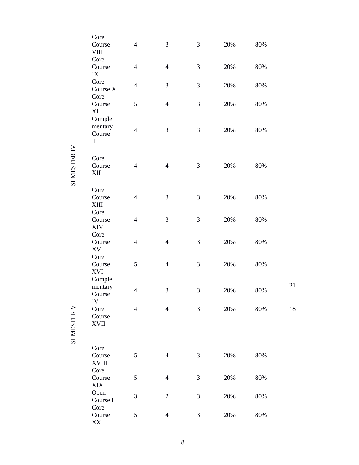| Core<br>Course<br><b>VIII</b>      | $\overline{4}$ | 3                        | 3 | 20% | 80%    |    |
|------------------------------------|----------------|--------------------------|---|-----|--------|----|
| Core<br>Course<br>IX               | 4              | $\overline{\mathcal{A}}$ | 3 | 20% | 80%    |    |
| Core<br>Course X<br>Core           | 4              | 3                        | 3 | 20% | 80%    |    |
| Course<br>XI                       | 5              | $\overline{\mathcal{A}}$ | 3 | 20% | 80%    |    |
| Comple<br>mentary<br>Course<br>III | $\overline{4}$ | 3                        | 3 | 20% | 80%    |    |
| Core<br>Course<br>XII              | 4              | $\overline{\mathcal{A}}$ | 3 | 20% | 80%    |    |
| Core<br>Course<br>XIII             | $\overline{4}$ | 3                        | 3 | 20% | 80%    |    |
| Core<br>Course<br><b>XIV</b>       | $\overline{4}$ | 3                        | 3 | 20% | 80%    |    |
| Core<br>Course<br>XV               | $\overline{4}$ | $\overline{4}$           | 3 | 20% | 80%    |    |
| Core<br>Course<br>XVI<br>Comple    | 5              | $\overline{\mathcal{A}}$ | 3 | 20% | 80%    |    |
| mentary<br>Course                  | $\overline{4}$ | 3                        | 3 | 20% | 80%    | 21 |
| IV<br>Core<br>Course<br>XVII       | $\overline{4}$ | $\overline{4}$           | 3 | 20% | 80%    | 18 |
| Core                               |                |                          |   |     |        |    |
| Course<br>XVIII                    | 5              | $\overline{4}$           | 3 | 20% | 80%    |    |
| Core<br>Course<br>XIX              | 5              | $\overline{4}$           | 3 | 20% | 80%    |    |
| Open<br>Course I                   | 3              | $\overline{2}$           | 3 | 20% | $80\%$ |    |
| Core<br>Course<br>XX               | 5              | $\overline{4}$           | 3 | 20% | 80%    |    |

SEMESTER IV

SEMESTER V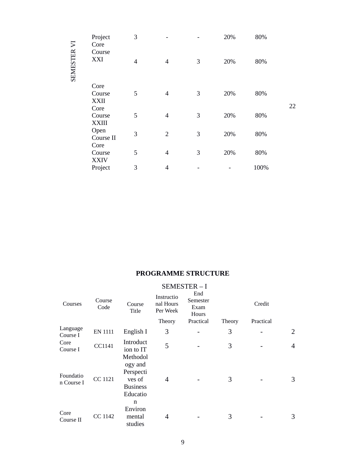|             | Project<br>Core<br>Course | 3              |                |   | 20% | 80%  |    |
|-------------|---------------------------|----------------|----------------|---|-----|------|----|
| SEMESTER VI | XXI                       | $\overline{4}$ | $\overline{4}$ | 3 | 20% | 80%  |    |
|             | Core                      |                |                |   |     |      |    |
|             | Course                    | 5              | $\overline{4}$ | 3 | 20% | 80%  |    |
|             | <b>XXII</b>               |                |                |   |     |      | 22 |
|             | Core<br>Course            | 5              | $\overline{4}$ | 3 | 20% | 80%  |    |
|             | <b>XXIII</b>              |                |                |   |     |      |    |
|             | Open                      | 3              | $\overline{2}$ | 3 | 20% | 80%  |    |
|             | Course II                 |                |                |   |     |      |    |
|             | Core                      |                |                |   |     |      |    |
|             | Course<br><b>XXIV</b>     | 5              | $\overline{4}$ | 3 | 20% | 80%  |    |
|             | Project                   | 3              | $\overline{4}$ |   |     | 100% |    |
|             |                           |                |                |   |     |      |    |

# **PROGRAMME STRUCTURE**

|                         |                |                                                               |                                     | SEMESTER-I                       |        |           |                |
|-------------------------|----------------|---------------------------------------------------------------|-------------------------------------|----------------------------------|--------|-----------|----------------|
| Courses                 | Course<br>Code | Course<br>Title                                               | Instructio<br>nal Hours<br>Per Week | End<br>Semester<br>Exam<br>Hours |        | Credit    |                |
|                         |                |                                                               | Theory                              | Practical                        | Theory | Practical |                |
| Language<br>Course I    | <b>EN 1111</b> | English I                                                     | 3                                   |                                  | 3      |           | 2              |
| Core<br>Course I        | CC1141         | Introduct<br>ion to IT<br>Methodol                            | 5                                   |                                  | 3      |           | $\overline{4}$ |
| Foundatio<br>n Course I | <b>CC 1121</b> | ogy and<br>Perspecti<br>ves of<br><b>Business</b><br>Educatio | 4                                   |                                  | 3      |           | 3              |
| Core<br>Course II       | CC 1142        | n<br>Environ<br>mental<br>studies                             | 4                                   |                                  | 3      |           | 3              |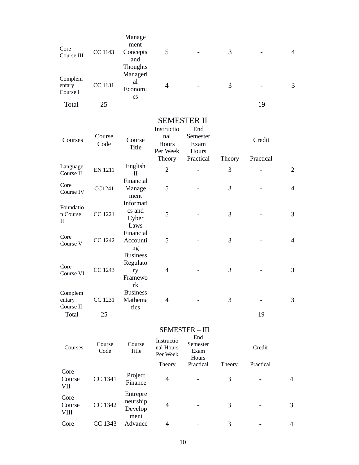| Core<br>Course III                   | <b>CC 1143</b> | Manage<br>ment<br>Concepts                         | 5                                                |                                               | 3           |                     | $\overline{4}$ |
|--------------------------------------|----------------|----------------------------------------------------|--------------------------------------------------|-----------------------------------------------|-------------|---------------------|----------------|
|                                      |                | and<br>Thoughts<br>Manageri                        |                                                  |                                               |             |                     |                |
| Complem<br>entary<br>Course I        | <b>CC 1131</b> | al<br>Economi<br>CS                                | $\overline{4}$                                   |                                               | 3           |                     | 3              |
| <b>Total</b>                         | 25             |                                                    |                                                  |                                               |             | 19                  |                |
|                                      |                |                                                    | <b>SEMESTER II</b>                               |                                               |             |                     |                |
| Courses                              | Course<br>Code | Course<br><b>Title</b>                             | Instructio<br>nal<br>Hours<br>Per Week<br>Theory | End<br>Semester<br>Exam<br>Hours<br>Practical | Theory      | Credit<br>Practical |                |
| Language<br>Course II                | <b>EN 1211</b> | English<br>$\mathbf{I}$                            | $\overline{2}$                                   |                                               | 3           |                     | $\overline{2}$ |
| Core<br>Course IV                    | CC1241         | Financial<br>Manage<br>ment                        | 5                                                |                                               | 3           |                     | $\overline{4}$ |
| Foundatio<br>n Course<br>$_{\rm II}$ | <b>CC 1221</b> | Informati<br>cs and<br>Cyber<br>Laws               | 5                                                |                                               | 3           |                     | $\mathsf 3$    |
| Core<br>Course V                     | <b>CC 1242</b> | Financial<br>Accounti<br>ng                        | 5                                                |                                               | 3           |                     | $\overline{4}$ |
| Core<br>Course VI                    | <b>CC 1243</b> | <b>Business</b><br>Regulato<br>ry<br>Framewo<br>rk | $\overline{4}$                                   |                                               | 3           |                     | $\mathsf 3$    |
| Complem<br>entary<br>Course II       | CC 1231        | <b>Business</b><br>Mathema<br>tics                 | $\overline{4}$                                   |                                               | 3           |                     | 3              |
| <b>Total</b>                         | 25             |                                                    |                                                  |                                               |             | 19                  |                |
|                                      |                |                                                    |                                                  | <b>SEMESTER - III</b>                         |             |                     |                |
| Courses                              | Course<br>Code | Course<br>Title                                    | Instructio<br>nal Hours<br>Per Week              | End<br>Semester<br>Exam<br>Hours              |             | Credit              |                |
| Core<br>Course                       | CC 1341        | Project<br>Finance                                 | Theory<br>4                                      | Practical                                     | Theory<br>3 | Practical           | $\overline{4}$ |
| VII<br>Core<br>Course                | CC 1342        | Entrepre<br>neurship<br>Develop                    | $\overline{4}$                                   |                                               | 3           |                     | 3              |
| <b>VIII</b><br>Core                  | CC 1343        | ment<br>Advance                                    | 4                                                |                                               | 3           |                     | $\overline{4}$ |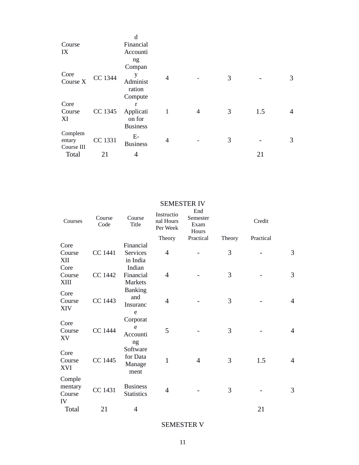|            |         | d               |              |   |   |     |   |
|------------|---------|-----------------|--------------|---|---|-----|---|
| Course     |         | Financial       |              |   |   |     |   |
| IX         |         | Accounti        |              |   |   |     |   |
|            |         | ng              |              |   |   |     |   |
|            |         | Compan          |              |   |   |     |   |
| Core       | CC 1344 | y               | 4            |   | 3 |     | 3 |
| Course X   |         | Administ        |              |   |   |     |   |
|            |         | ration          |              |   |   |     |   |
|            |         | Compute         |              |   |   |     |   |
| Core       |         | r               |              |   |   |     |   |
| Course     | CC 1345 | Applicati       | $\mathbf{1}$ | 4 | 3 | 1.5 | 4 |
| XI         |         | on for          |              |   |   |     |   |
|            |         | <b>Business</b> |              |   |   |     |   |
| Complem    |         | Е-              |              |   |   |     |   |
| entary     | CC 1331 | <b>Business</b> | 4            |   | 3 |     | 3 |
| Course III |         |                 |              |   |   |     |   |
| Total      | 21      | 4               |              |   |   | 21  |   |

| Courses      | Course<br>Code | Course<br><b>Title</b> | Instructio<br>nal Hours<br>Per Week | End<br>Semester<br>Exam<br>Hours |        | Credit    |                |
|--------------|----------------|------------------------|-------------------------------------|----------------------------------|--------|-----------|----------------|
|              |                |                        | Theory                              | Practical                        | Theory | Practical |                |
| Core         |                | Financial              |                                     |                                  |        |           |                |
| Course       | <b>CC 1441</b> | <b>Services</b>        | $\overline{4}$                      |                                  | 3      |           | 3              |
| XII          |                | in India               |                                     |                                  |        |           |                |
| Core         |                | Indian                 |                                     |                                  |        |           |                |
| Course       | <b>CC 1442</b> | Financial              | $\overline{4}$                      |                                  | 3      |           | 3              |
| XIII         |                | <b>Markets</b>         |                                     |                                  |        |           |                |
| Core         |                | <b>Banking</b>         |                                     |                                  |        |           |                |
| Course       | <b>CC 1443</b> | and                    | $\overline{4}$                      |                                  | 3      |           | $\overline{4}$ |
| <b>XIV</b>   |                | Insuranc               |                                     |                                  |        |           |                |
|              |                | e                      |                                     |                                  |        |           |                |
| Core         |                | Corporat               |                                     |                                  |        |           |                |
| Course       | <b>CC 1444</b> | e                      | 5                                   |                                  | 3      |           | $\overline{4}$ |
| XV           |                | Accounti               |                                     |                                  |        |           |                |
|              |                | ng                     |                                     |                                  |        |           |                |
| Core         |                | Software               |                                     |                                  |        |           |                |
| Course       | <b>CC 1445</b> | for Data               | $\mathbf{1}$                        | $\overline{4}$                   | 3      | 1.5       | $\overline{4}$ |
| XVI          |                | Manage                 |                                     |                                  |        |           |                |
|              |                | ment                   |                                     |                                  |        |           |                |
| Comple       |                |                        |                                     |                                  |        |           |                |
| mentary      | <b>CC 1431</b> | <b>Business</b>        | 4                                   |                                  | 3      |           | 3              |
| Course       |                | <b>Statistics</b>      |                                     |                                  |        |           |                |
| IV           |                |                        |                                     |                                  |        |           |                |
| <b>Total</b> | 21             | 4                      |                                     |                                  |        | 21        |                |

SEMESTER IV

SEMESTER V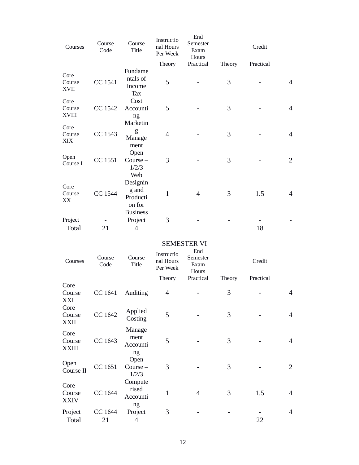| Courses                       | Course<br>Code | Course<br><b>Title</b>                         | Instructio<br>nal Hours<br>Per Week | End<br>Semester<br>Exam<br>Hours |        | Credit    |                |
|-------------------------------|----------------|------------------------------------------------|-------------------------------------|----------------------------------|--------|-----------|----------------|
|                               |                |                                                | Theory                              | Practical                        | Theory | Practical |                |
| Core<br>Course<br><b>XVII</b> | CC 1541        | Fundame<br>ntals of<br>Income<br><b>Tax</b>    | 5                                   |                                  | 3      |           | 4              |
| Core                          |                | Cost                                           |                                     |                                  |        |           |                |
| Course                        | <b>CC 1542</b> | Accounti                                       | 5                                   |                                  | 3      |           | $\overline{4}$ |
| <b>XVIII</b>                  |                | ng<br>Marketin                                 |                                     |                                  |        |           |                |
| Core<br>Course<br>XIX         | CC 1543        | g<br>Manage<br>ment                            | $\overline{4}$                      |                                  | 3      |           | $\overline{4}$ |
| Open<br>Course I              | CC 1551        | Open<br>Course –<br>1/2/3                      | 3                                   |                                  | 3      |           | $\overline{2}$ |
| Core<br>Course<br>XX          | <b>CC 1544</b> | Web<br>Designin<br>g and<br>Producti<br>on for | $\mathbf{1}$                        | 4                                | 3      | 1.5       | $\overline{4}$ |
| Project                       |                | <b>Business</b><br>Project                     | 3                                   |                                  |        |           |                |
| <b>Total</b>                  | 21             | 4                                              |                                     |                                  |        | 18        |                |

#### SEMESTER VI End

| Courses                        | Course<br>Code | Course<br><b>Title</b>             | Instructio<br>nal Hours<br>Per Week | سىد<br>Semester<br>Exam<br>Hours |        | Credit    |                |
|--------------------------------|----------------|------------------------------------|-------------------------------------|----------------------------------|--------|-----------|----------------|
|                                |                |                                    | Theory                              | Practical                        | Theory | Practical |                |
| Core                           |                |                                    |                                     |                                  |        |           |                |
| Course<br>XXI                  | CC 1641        | Auditing                           | 4                                   |                                  | 3      |           | $\overline{4}$ |
| Core<br>Course<br><b>XXII</b>  | <b>CC 1642</b> | Applied<br>Costing                 | 5                                   |                                  | 3      |           | $\overline{4}$ |
| Core<br>Course<br><b>XXIII</b> | CC 1643        | Manage<br>ment<br>Accounti<br>ng   | 5                                   |                                  | 3      |           | $\overline{4}$ |
| Open<br>Course II              | CC 1651        | Open<br>Course –<br>1/2/3          | 3                                   |                                  | 3      |           | $\overline{2}$ |
| Core<br>Course<br><b>XXIV</b>  | <b>CC 1644</b> | Compute<br>rised<br>Accounti<br>ng | $\mathbf{1}$                        | 4                                | 3      | 1.5       | 4              |
| Project                        | CC 1644        | Project                            | 3                                   |                                  |        |           | $\overline{4}$ |
| <b>Total</b>                   | 21             | 4                                  |                                     |                                  |        | 22        |                |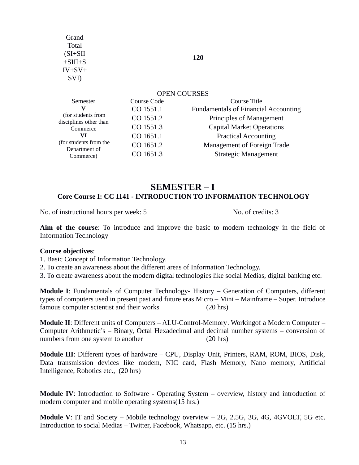| Grand<br><b>Total</b><br>$(SI+SII)$<br>$+SIII+S$<br>$IV+SV+$<br>SVI) |             | 120                                         |  |  |
|----------------------------------------------------------------------|-------------|---------------------------------------------|--|--|
| <b>OPEN COURSES</b>                                                  |             |                                             |  |  |
| Semester                                                             | Course Code | Course Title                                |  |  |
| v                                                                    | CO 1551.1   | <b>Fundamentals of Financial Accounting</b> |  |  |
| (for students from<br>disciplines other than                         | CO 1551.2   | Principles of Management                    |  |  |
| Commerce                                                             | CO 1551.3   | <b>Capital Market Operations</b>            |  |  |
| VI                                                                   | CO 1651.1   | <b>Practical Accounting</b>                 |  |  |
| (for students from the                                               | CO 1651.2   | Management of Foreign Trade                 |  |  |
| Department of<br>Commerce)                                           | CO 1651.3   | Strategic Management                        |  |  |
|                                                                      |             |                                             |  |  |

## **SEMESTER – I Core Course I: CC 1141 - INTRODUCTION TO INFORMATION TECHNOLOGY**

No. of instructional hours per week: 5 No. of credits: 3

**Aim of the course**: To introduce and improve the basic to modern technology in the field of Information Technology

#### **Course objectives**:

1. Basic Concept of Information Technology.

2. To create an awareness about the different areas of Information Technology.

3. To create awareness about the modern digital technologies like social Medias, digital banking etc.

**Module I**: Fundamentals of Computer Technology- History – Generation of Computers, different types of computers used in present past and future eras Micro – Mini – Mainframe – Super. Introduce famous computer scientist and their works (20 hrs)

**Module II**: Different units of Computers – ALU-Control-Memory. Workingof a Modern Computer – Computer Arithmetic's – Binary, Octal Hexadecimal and decimal number systems – conversion of numbers from one system to another (20 hrs)

**Module III**: Different types of hardware – CPU, Display Unit, Printers, RAM, ROM, BIOS, Disk, Data transmission devices like modem, NIC card, Flash Memory, Nano memory, Artificial Intelligence, Robotics etc., (20 hrs)

**Module IV**: Introduction to Software - Operating System – overview, history and introduction of modern computer and mobile operating systems(15 hrs.)

**Module V**: IT and Society – Mobile technology overview – 2G, 2.5G, 3G, 4G, 4GVOLT, 5G etc. Introduction to social Medias – Twitter, Facebook, Whatsapp, etc. (15 hrs.)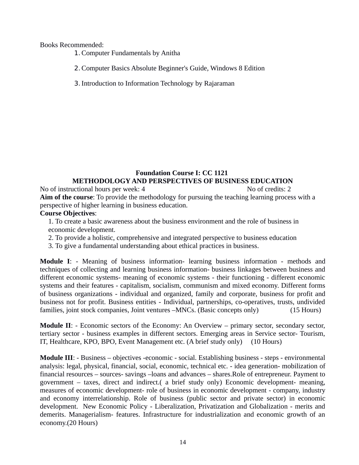Books Recommended:

- 1.Computer Fundamentals by Anitha
- 2.Computer Basics Absolute Beginner's Guide, Windows 8 Edition
- 3.Introduction to Information Technology by Rajaraman

### **Foundation Course I: CC 1121 METHODOLOGY AND PERSPECTIVES OF BUSINESS EDUCATION**

No of instructional hours per week: 4 No of credits: 2 **Aim of the course**: To provide the methodology for pursuing the teaching learning process with a perspective of higher learning in business education.

## **Course Objectives**:

1. To create a basic awareness about the business environment and the role of business in economic development.

2. To provide a holistic, comprehensive and integrated perspective to business education

3. To give a fundamental understanding about ethical practices in business.

**Module I**: - Meaning of business information- learning business information - methods and techniques of collecting and learning business information- business linkages between business and different economic systems- meaning of economic systems - their functioning - different economic systems and their features - capitalism, socialism, communism and mixed economy. Different forms of business organizations - individual and organized, family and corporate, business for profit and business not for profit. Business entities - Individual, partnerships, co-operatives, trusts, undivided families, joint stock companies, Joint ventures –MNCs. (Basic concepts only) (15 Hours)

**Module II**: - Economic sectors of the Economy: An Overview – primary sector, secondary sector, tertiary sector - business examples in different sectors. Emerging areas in Service sector- Tourism, IT, Healthcare, KPO, BPO, Event Management etc. (A brief study only) (10 Hours)

**Module III**: - Business – objectives -economic - social. Establishing business - steps - environmental analysis: legal, physical, financial, social, economic, technical etc. - idea generation- mobilization of financial resources – sources- savings –loans and advances – shares.Role of entrepreneur. Payment to government – taxes, direct and indirect.( a brief study only) Economic development- meaning, measures of economic development- role of business in economic development - company, industry and economy interrelationship. Role of business (public sector and private sector) in economic development. New Economic Policy - Liberalization, Privatization and Globalization - merits and demerits. Managerialism- features. Infrastructure for industrialization and economic growth of an economy.(20 Hours)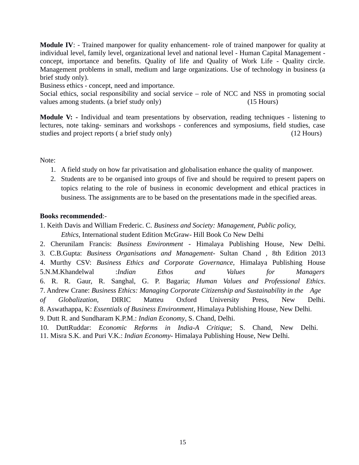**Module IV**: - Trained manpower for quality enhancement- role of trained manpower for quality at individual level, family level, organizational level and national level - Human Capital Management concept, importance and benefits. Quality of life and Quality of Work Life - Quality circle. Management problems in small, medium and large organizations. Use of technology in business (a brief study only).

Business ethics - concept, need and importance.

Social ethics, social responsibility and social service – role of NCC and NSS in promoting social values among students. (a brief study only) (15 Hours)

**Module V: -** Individual and team presentations by observation, reading techniques - listening to lectures, note taking- seminars and workshops - conferences and symposiums, field studies, case studies and project reports ( a brief study only) (12 Hours)

Note:

- 1. A field study on how far privatisation and globalisation enhance the quality of manpower.
- 2. Students are to be organised into groups of five and should be required to present papers on topics relating to the role of business in economic development and ethical practices in business. The assignments are to be based on the presentations made in the specified areas.

## **Books recommended**:-

1. Keith Davis and William Frederic. C. *Business and Society: Management, Public policy, Ethics*, International student Edition McGraw- Hill Book Co New Delhi

2. Cherunilam Francis: *Business Environment -* Himalaya Publishing House, New Delhi. 3. C.B.Gupta: *Business Organisations and Management*- Sultan Chand , 8th Edition 2013 4. Murthy CSV: *Business Ethics and Corporate Governance,* Himalaya Publishing House 5.N.M.Khandelwal :*Indian Ethos and Values for Managers* 6. R. R. Gaur, R. Sanghal, G. P. Bagaria; *Human Values and Professional Ethics*. 7. Andrew Crane: *Business Ethics: Managing Corporate Citizenship and Sustainability in the Age of Globalization*, DIRIC Matteu Oxford University Press, New Delhi. 8. Aswathappa, K: *Essentials of Business Environment*, Himalaya Publishing House, New Delhi. 9. Dutt R. and Sundharam K.P.M.: *Indian Economy*, S. Chand, Delhi.

10. DuttRuddar: *Economic Reforms in India-A Critique*; S. Chand, New Delhi. 11. Misra S.K. and Puri V.K.: *Indian Economy-* Himalaya Publishing House, New Delhi.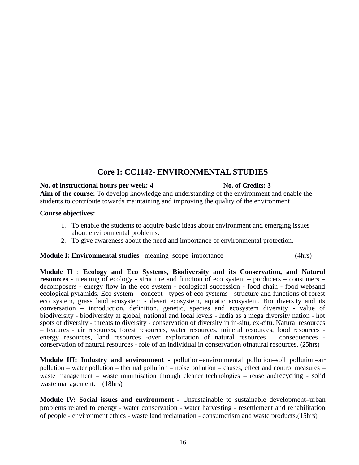# **Core I: CC1142- ENVIRONMENTAL STUDIES**

#### **No. of instructional hours per week: 4 No. of Credits: 3**

**Aim of the course:** To develop knowledge and understanding of the environment and enable the students to contribute towards maintaining and improving the quality of the environment

#### **Course objectives:**

- 1. To enable the students to acquire basic ideas about environment and emerging issues about environmental problems.
- 2. To give awareness about the need and importance of environmental protection.

**Module I: Environmental studies** –meaning–scope–importance (4hrs) (4hrs)

**Module II** : **Ecology and Eco Systems, Biodiversity and its Conservation, and Natural resources -** meaning of ecology - structure and function of eco system – producers – consumers – decomposers - energy flow in the eco system - ecological succession - food chain - food websand ecological pyramids. Eco system – concept - types of eco systems - structure and functions of forest eco system, grass land ecosystem - desert ecosystem, aquatic ecosystem. Bio diversity and its conversation – introduction, definition, genetic, species and ecosystem diversity - value of biodiversity - biodiversity at global, national and local levels - India as a mega diversity nation - hot spots of diversity - threats to diversity - conservation of diversity in in-situ, ex-citu. Natural resources – features - air resources, forest resources, water resources, mineral resources, food resources energy resources, land resources -over exploitation of natural resources – consequences conservation of natural resources - role of an individual in conservation ofnatural resources. (25hrs)

**Module III: Industry and environment** - pollution–environmental pollution–soil pollution–air pollution – water pollution – thermal pollution – noise pollution – causes, effect and control measures – waste management – waste minimisation through cleaner technologies – reuse andrecycling - solid waste management. (18hrs)

**Module IV: Social issues and environment -** Unsustainable to sustainable development–urban problems related to energy - water conservation - water harvesting - resettlement and rehabilitation of people - environment ethics - waste land reclamation - consumerism and waste products.(15hrs)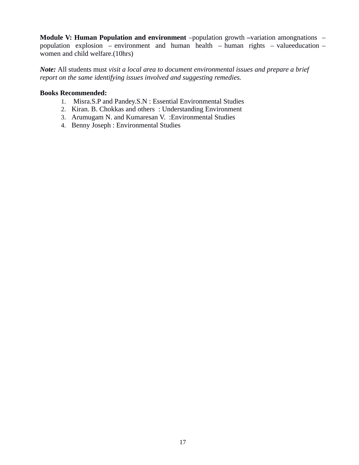**Module V: Human Population and environment** –population growth –variation amongnations – population explosion – environment and human health – human rights – valueeducation – women and child welfare.(10hrs)

*Note:* All students must *visit a local area to document environmental issues and prepare a brief report on the same identifying issues involved and suggesting remedies.*

## **Books Recommended:**

- 1. Misra.S.P and Pandey.S.N : Essential Environmental Studies
- 2. Kiran. B. Chokkas and others : Understanding Environment
- 3. Arumugam N. and Kumaresan V. :Environmental Studies
- 4. Benny Joseph : Environmental Studies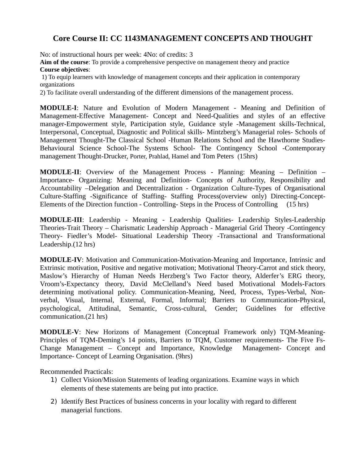# **Core Course II: CC 1143MANAGEMENT CONCEPTS AND THOUGHT**

No: of instructional hours per week: 4No: of credits: 3

**Aim of the course**: To provide a comprehensive perspective on management theory and practice **Course objectives**:

1) To equip learners with knowledge of management concepts and their application in contemporary organizations

2) To facilitate overall understanding of the different dimensions of the management process.

**MODULE-I**: Nature and Evolution of Modern Management - Meaning and Definition of Management-Effective Management- Concept and Need-Qualities and styles of an effective manager-Empowerment style, Participation style, Guidance style -Management skills-Technical, Interpersonal, Conceptual, Diagnostic and Political skills- Mintzberg's Managerial roles- Schools of Management Thought-The Classical School -Human Relations School and the Hawthorne Studies-Behavioural Science School-The Systems School- The Contingency School -Contemporary management Thought-Drucker, Porter, Prahlad, Hamel and Tom Peters (15hrs)

**MODULE-II**: Overview of the Management Process - Planning: Meaning – Definition – Importance- Organizing: Meaning and Definition- Concepts of Authority, Responsibility and Accountability –Delegation and Decentralization - Organization Culture-Types of Organisational Culture-Staffing -Significance of Staffing- Staffing Process(overview only) Directing-Concept-Elements of the Direction function - Controlling- Steps in the Process of Controlling (15 hrs)

**MODULE-III**: Leadership - Meaning - Leadership Qualities- Leadership Styles-Leadership Theories-Trait Theory – Charismatic Leadership Approach - Managerial Grid Theory -Contingency Theory- Fiedler's Model- Situational Leadership Theory -Transactional and Transformational Leadership.(12 hrs)

**MODULE-IV**: Motivation and Communication-Motivation-Meaning and Importance, Intrinsic and Extrinsic motivation, Positive and negative motivation; Motivational Theory-Carrot and stick theory, Maslow's Hierarchy of Human Needs Herzberg's Two Factor theory, Alderfer's ERG theory, Vroom's-Expectancy theory, David McClelland's Need based Motivational Models-Factors determining motivational policy. Communication-Meaning, Need, Process, Types-Verbal, Nonverbal, Visual, Internal, External, Formal, Informal; Barriers to Communication-Physical, psychological, Attitudinal, Semantic, Cross-cultural, Gender; Guidelines for effective communication.(21 hrs)

**MODULE-V**: New Horizons of Management (Conceptual Framework only) TQM-Meaning-Principles of TQM-Deming's 14 points, Barriers to TQM, Customer requirements- The Five Fs-Change Management – Concept and Importance, Knowledge Management- Concept and Importance- Concept of Learning Organisation. (9hrs)

Recommended Practicals:

- 1) Collect Vision/Mission Statements of leading organizations. Examine ways in which elements of these statements are being put into practice.
- 2) Identify Best Practices of business concerns in your locality with regard to different managerial functions.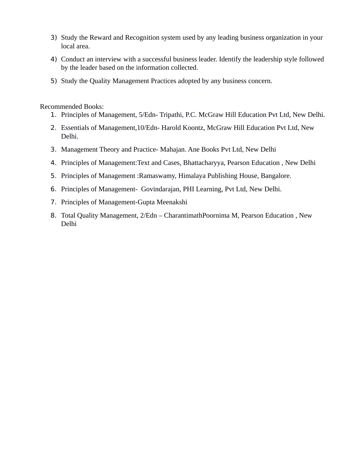- 3) Study the Reward and Recognition system used by any leading business organization in your local area.
- 4) Conduct an interview with a successful business leader. Identify the leadership style followed by the leader based on the information collected.
- 5) Study the Quality Management Practices adopted by any business concern.

Recommended Books:

- 1. Principles of Management, 5/Edn- Tripathi, P.C. McGraw Hill Education Pvt Ltd, New Delhi.
- 2. Essentials of Management,10/Edn- Harold Koontz, McGraw Hill Education Pvt Ltd, New Delhi.
- 3. Management Theory and Practice- Mahajan. Ane Books Pvt Ltd, New Delhi
- 4. Principles of Management:Text and Cases, Bhattacharyya, Pearson Education , New Delhi
- 5. Principles of Management :Ramaswamy, Himalaya Publishing House, Bangalore.
- 6. Principles of Management- Govindarajan, PHI Learning, Pvt Ltd, New Delhi.
- 7. Principles of Management-Gupta Meenakshi
- 8. Total Quality Management, 2/Edn CharantimathPoornima M, Pearson Education , New Delhi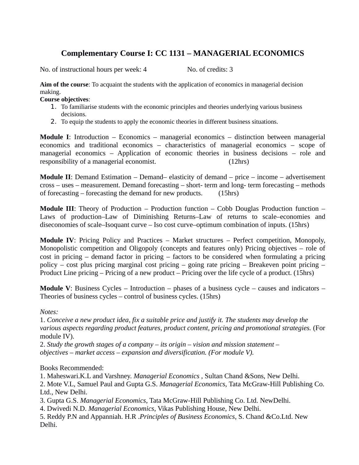# **Complementary Course I: CC 1131 – MANAGERIAL ECONOMICS**

No. of instructional hours per week: 4 No. of credits: 3

**Aim of the course**: To acquaint the students with the application of economics in managerial decision making.

#### **Course objectives**:

- 1. To familiarise students with the economic principles and theories underlying various business decisions.
- 2. To equip the students to apply the economic theories in different business situations.

**Module I**: Introduction – Economics – managerial economics – distinction between managerial economics and traditional economics – characteristics of managerial economics – scope of managerial economics – Application of economic theories in business decisions – role and responsibility of a managerial economist. (12hrs)

**Module II**: Demand Estimation – Demand– elasticity of demand – price – income – advertisement cross – uses – measurement. Demand forecasting – short- term and long- term forecasting – methods of forecasting – forecasting the demand for new products. (15hrs)

**Module III**: Theory of Production – Production function – Cobb Douglas Production function – Laws of production–Law of Diminishing Returns–Law of returns to scale–economies and diseconomies of scale–Isoquant curve – Iso cost curve–optimum combination of inputs. (15hrs)

**Module IV**: Pricing Policy and Practices – Market structures – Perfect competition, Monopoly, Monopolistic competition and Oligopoly (concepts and features only) Pricing objectives – role of cost in pricing – demand factor in pricing – factors to be considered when formulating a pricing policy – cost plus pricing marginal cost pricing – going rate pricing – Breakeven point pricing – Product Line pricing – Pricing of a new product – Pricing over the life cycle of a product. (15hrs)

**Module V**: Business Cycles – Introduction – phases of a business cycle – causes and indicators – Theories of business cycles – control of business cycles. (15hrs)

## *Notes:*

1. *Conceive a new product idea, fix a suitable price and justify it. The students may develop the various aspects regarding product features, product content, pricing and promotional strategies.* (For module IV).

2. *Study the growth stages of a company – its origin – vision and mission statement – objectives – market access – expansion and diversification. (For module V).*

Books Recommended:

1. Maheswari.K.L and Varshney. *Managerial Economics* , Sultan Chand &Sons, New Delhi.

2. Mote V.L, Samuel Paul and Gupta G.S. *Managerial Economics,* Tata McGraw-Hill Publishing Co. Ltd., New Delhi.

3. Gupta G.S. *Managerial Economics*, Tata McGraw-Hill Publishing Co. Ltd. NewDelhi.

4. Dwivedi N.D. *Managerial Economics*, Vikas Publishing House, New Delhi.

5. Reddy P.N and Appanniah. H.R .*Principles of Business Economics*, S. Chand &Co.Ltd. New Delhi.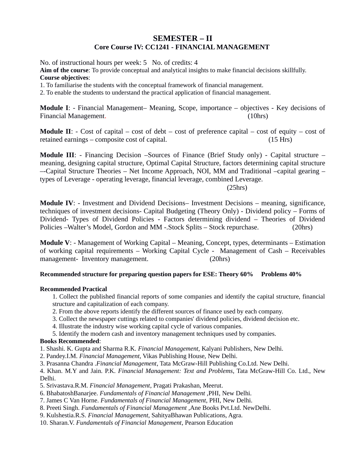## **SEMESTER – II Core Course IV: CC1241 - FINANCIAL MANAGEMENT**

No. of instructional hours per week: 5 No. of credits: 4

**Aim of the course**: To provide conceptual and analytical insights to make financial decisions skillfully. **Course objectives**:

1. To familiarise the students with the conceptual framework of financial management.

2. To enable the students to understand the practical application of financial management.

**Module I**: - Financial Management– Meaning, Scope, importance – objectives - Key decisions of Financial Management. (10hrs)

**Module II:** - Cost of capital – cost of debt – cost of preference capital – cost of equity – cost of retained earnings – composite cost of capital. (15 Hrs)

**Module III**: - Financing Decision –Sources of Finance (Brief Study only) - Capital structure – meaning, designing capital structure, Optimal Capital Structure, factors determining capital structure –-Capital Structure Theories – Net Income Approach, NOI, MM and Traditional –capital gearing – types of Leverage - operating leverage, financial leverage, combined Leverage.

(25hrs)

**Module IV**: - Investment and Dividend Decisions– Investment Decisions – meaning, significance, techniques of investment decisions- Capital Budgeting (Theory Only) - Dividend policy – Forms of Dividend- Types of Dividend Policies - Factors determining dividend – Theories of Dividend Policies –Walter's Model, Gordon and MM -.Stock Splits – Stock repurchase. (20hrs)

**Module V**: - Management of Working Capital – Meaning, Concept, types, determinants – Estimation of working capital requirements – Working Capital Cycle - Management of Cash – Receivables management- Inventory management. (20hrs)

#### **Recommended structure for preparing question papers for ESE: Theory 60% Problems 40%**

#### **Recommended Practical**

- 1. Collect the published financial reports of some companies and identify the capital structure, financial structure and capitalization of each company.
- 2. From the above reports identify the different sources of finance used by each company.
- 3. Collect the newspaper cuttings related to companies' dividend policies, dividend decision etc.
- 4. Illustrate the industry wise working capital cycle of various companies.
- 5. Identify the modern cash and inventory management techniques used by companies.

#### **Books Recommended**:

- 1. Shashi. K. Gupta and Sharma R.K. *Financial Management,* Kalyani Publishers, New Delhi.
- 2. Pandey.I.M. *Financial Management*, Vikas Publishing House, New Delhi.
- 3. Prasanna Chandra .*Financial Management*, Tata McGraw-Hill Publishing Co.Ltd. New Delhi.

4. Khan. M.Y and Jain. P.K. *Financial Management: Text and Problems*, Tata McGraw-Hill Co. Ltd., New Delhi.

- 5. Srivastava.R.M. *Financial Management*, Pragati Prakashan, Meerut.
- 6. BhabatoshBanarjee. *Fundamentals of Financial Management ,*PHI, New Delhi*.*
- 7. James C Van Horne. *Fundamentals of Financial Management*, PHI, New Delhi.
- 8. Preeti Singh. *Fundamentals of Financial Management* ,Ane Books Pvt.Ltd. NewDelhi.
- 9. Kulshestia.R.S. *Financial Management*, SahityaBhawan Publications, Agra.
- 10. Sharan.V. *Fundamentals of Financial Management*, Pearson Education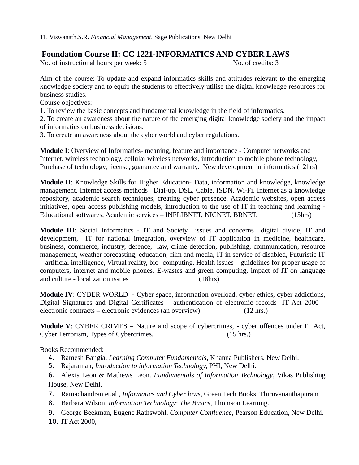## **Foundation Course II: CC 1221-INFORMATICS AND CYBER LAWS**

No. of instructional hours per week: 5 No. of credits: 3

Aim of the course: To update and expand informatics skills and attitudes relevant to the emerging knowledge society and to equip the students to effectively utilise the digital knowledge resources for business studies.

Course objectives:

1. To review the basic concepts and fundamental knowledge in the field of informatics.

2. To create an awareness about the nature of the emerging digital knowledge society and the impact of informatics on business decisions.

3. To create an awareness about the cyber world and cyber regulations.

**Module I**: Overview of Informatics- meaning, feature and importance - Computer networks and Internet, wireless technology, cellular wireless networks, introduction to mobile phone technology, Purchase of technology, license, guarantee and warranty. New development in informatics.(12hrs)

**Module II**: Knowledge Skills for Higher Education- Data, information and knowledge, knowledge management, Internet access methods –Dial-up, DSL, Cable, ISDN, Wi-Fi. Internet as a knowledge repository, academic search techniques, creating cyber presence. Academic websites, open access initiatives, open access publishing models, introduction to the use of IT in teaching and learning - Educational softwares, Academic services – INFLIBNET, NICNET, BRNET. (15hrs)

**Module III**: Social Informatics - IT and Society– issues and concerns– digital divide, IT and development, IT for national integration, overview of IT application in medicine, healthcare, business, commerce, industry, defence, law, crime detection, publishing, communication, resource management, weather forecasting, education, film and media, IT in service of disabled, Futuristic IT – artificial intelligence, Virtual reality, bio- computing. Health issues – guidelines for proper usage of computers, internet and mobile phones. E-wastes and green computing, impact of IT on language and culture - localization issues (18hrs)

**Module IV**: CYBER WORLD - Cyber space, information overload, cyber ethics, cyber addictions, Digital Signatures and Digital Certificates – authentication of electronic records- IT Act 2000 – electronic contracts – electronic evidences (an overview) (12 hrs.)

**Module V**: CYBER CRIMES – Nature and scope of cybercrimes, - cyber offences under IT Act, Cyber Terrorism, Types of Cybercrimes. (15 hrs.)

Books Recommended:

- 4. Ramesh Bangia. *Learning Computer Fundamentals*, Khanna Publishers, New Delhi.
- 5. Rajaraman, *Introduction to information Technology,* PHI, New Delhi*.*
- 6. Alexis Leon & Mathews Leon. *Fundamentals of Information Technology*, Vikas Publishing House, New Delhi.
- 7. Ramachandran et.al , *Informatics and Cyber laws,* Green Tech Books, Thiruvananthapuram
- 8. Barbara Wilson. *Information Technology*: *The Basics*, Thomson Learning.
- 9. George Beekman, Eugene Rathswohl. *Computer Confluence*, Pearson Education, New Delhi.
- 10. IT Act 2000,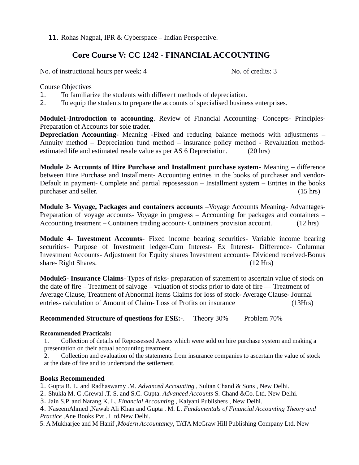11. Rohas Nagpal, IPR & Cyberspace – Indian Perspective.

## **Core Course V: CC 1242 - FINANCIAL ACCOUNTING**

No. of instructional hours per week: 4 No. of credits: 3

Course Objectives

- 1. To familiarize the students with different methods of depreciation.
- 2. To equip the students to prepare the accounts of specialised business enterprises.

**Module1-Introduction to accounting**. Review of Financial Accounting- Concepts- Principles-Preparation of Accounts for sole trader.

**Depreciation Accounting**- Meaning -Fixed and reducing balance methods with adjustments – Annuity method – Depreciation fund method – insurance policy method - Revaluation methodestimated life and estimated resale value as per AS 6 Depreciation. (20 hrs)

**Module 2- Accounts of Hire Purchase and Installment purchase system**- Meaning – difference between Hire Purchase and Installment- Accounting entries in the books of purchaser and vendor-Default in payment- Complete and partial repossession – Installment system – Entries in the books purchaser and seller. (15 hrs) (15 hrs)

**Module 3- Voyage, Packages and containers accounts** –Voyage Accounts Meaning- Advantages-Preparation of voyage accounts- Voyage in progress – Accounting for packages and containers – Accounting treatment – Containers trading account- Containers provision account. (12 hrs)

**Module 4- Investment Accounts**- Fixed income bearing securities- Variable income bearing securities- Purpose of Investment ledger-Cum Interest- Ex Interest- Difference- Columnar Investment Accounts- Adjustment for Equity shares Investment accounts- Dividend received-Bonus share- Right Shares. (12 Hrs)

**Module5- Insurance Claims**- Types of risks- preparation of statement to ascertain value of stock on the date of fire – Treatment of salvage – valuation of stocks prior to date of fire –– Treatment of Average Clause, Treatment of Abnormal items Claims for loss of stock- Average Clause- Journal entries- calculation of Amount of Claim- Loss of Profits on insurance (13Hrs)

**Recommended Structure of questions for ESE:-.** Theory 30% Problem 70%

## **Recommended Practicals:**

1. Collection of details of Repossessed Assets which were sold on hire purchase system and making a presentation on their actual accounting treatment.

2. Collection and evaluation of the statements from insurance companies to ascertain the value of stock at the date of fire and to understand the settlement.

## **Books Recommended**

1. Gupta R. L. and Radhaswamy .M. *Advanced Accounting* , Sultan Chand & Sons , New Delhi.

2. Shukla M. C .Grewal .T. S. and S.C. Gupta. *Advanced Accounts* S. Chand &Co. Ltd. New Delhi.

- 3. Jain S.P. and Narang K. L*. Financial Accountin*g , Kalyani Publishers , New Delhi.
- 4. NaseemAhmed ,Nawab Ali Khan and Gupta . M. L. *Fundamentals of Financial Accounting Theory and Practice* ,Ane Books Pvt . L td.New Delhi.

5. A Mukharjee and M Hanif ,*Modern Accountancy*, TATA McGraw Hill Publishing Company Ltd. New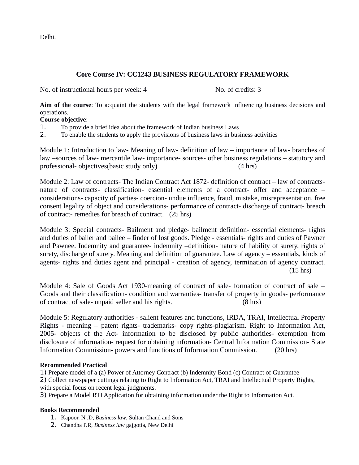Delhi.

## **Core Course IV: CC1243 BUSINESS REGULATORY FRAMEWORK**

No. of instructional hours per week: 4 No. of credits: 3

**Aim of the course**: To acquaint the students with the legal framework influencing business decisions and operations.

#### **Course objective**:

- 1. To provide a brief idea about the framework of Indian business Laws
- 2. To enable the students to apply the provisions of business laws in business activities

Module 1: Introduction to law- Meaning of law- definition of law – importance of law- branches of law –sources of law- mercantile law- importance- sources- other business regulations – statutory and professional- objectives(basic study only) (4 hrs)

Module 2: Law of contracts- The Indian Contract Act 1872- definition of contract – law of contractsnature of contracts- classification- essential elements of a contract- offer and acceptance – considerations- capacity of parties- coercion- undue influence, fraud, mistake, misrepresentation, free consent legality of object and considerations- performance of contract- discharge of contract- breach of contract- remedies for breach of contract. (25 hrs)

Module 3: Special contracts- Bailment and pledge- bailment definition- essential elements- rights and duties of bailer and bailee – finder of lost goods. Pledge - essentials- rights and duties of Pawner and Pawnee. Indemnity and guarantee- indemnity –definition- nature of liability of surety, rights of surety, discharge of surety. Meaning and definition of guarantee. Law of agency – essentials, kinds of agents- rights and duties agent and principal - creation of agency, termination of agency contract. (15 hrs)

Module 4: Sale of Goods Act 1930-meaning of contract of sale- formation of contract of sale – Goods and their classification- condition and warranties- transfer of property in goods- performance of contract of sale- unpaid seller and his rights. (8 hrs)

Module 5: Regulatory authorities - salient features and functions, IRDA, TRAI, Intellectual Property Rights - meaning – patent rights- trademarks- copy rights-plagiarism. Right to Information Act, 2005- objects of the Act- information to be disclosed by public authorities- exemption from disclosure of information- request for obtaining information- Central Information Commission- State Information Commission- powers and functions of Information Commission. (20 hrs)

#### **Recommended Practical**

1) Prepare model of a (a) Power of Attorney Contract (b) Indemnity Bond (c) Contract of Guarantee

2) Collect newspaper cuttings relating to Right to Information Act, TRAI and Intellectual Property Rights, with special focus on recent legal judgments.

3) Prepare a Model RTI Application for obtaining information under the Right to Information Act.

#### **Books Recommended**

- 1. Kapoor. N .D, *Business law*, Sultan Chand and Sons
- 2. Chandha P.R, *Business law* gajgotia, New Delhi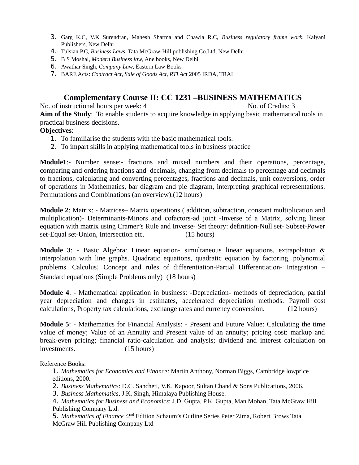- 3. Garg K.C, V.K Surendran, Mahesh Sharma and Chawla R.C, *Business regulatory frame work*, Kalyani Publishers, New Delhi
- 4. Tulsian P.C, *Business Laws*, Tata McGraw-Hill publishing Co.Ltd, New Delhi
- 5. B S Moshal, *Modern Business law,* Ane books, New Delhi
- 6. Awathar Singh, *Company Law*, Eastern Law Books
- 7. BARE Acts: *Contract Act*, *Sale of Goods Act, RTI Ac*t 2005 IRDA, TRAI

## **Complementary Course II: CC 1231 –BUSINESS MATHEMATICS**

No. of instructional hours per week: 4 No. of Credits: 3 **Aim of the Study**: To enable students to acquire knowledge in applying basic mathematical tools in practical business decisions.

## **Objectives**:

- 1. To familiarise the students with the basic mathematical tools.
- 2. To impart skills in applying mathematical tools in business practice

**Module1**:- Number sense:- fractions and mixed numbers and their operations, percentage, comparing and ordering fractions and decimals, changing from decimals to percentage and decimals to fractions, calculating and converting percentages, fractions and decimals, unit conversions, order of operations in Mathematics, bar diagram and pie diagram, interpreting graphical representations. Permutations and Combinations (an overview).(12 hours)

**Module 2**: Matrix: - Matrices– Matrix operations ( addition, subtraction, constant multiplication and multiplication)- Determinants-Minors and cofactors-ad joint -Inverse of a Matrix, solving linear equation with matrix using Cramer's Rule and Inverse- Set theory: definition-Null set- Subset-Power set-Equal set-Union, Intersection etc. (15 hours)

**Module 3**: - Basic Algebra: Linear equation- simultaneous linear equations, extrapolation & interpolation with line graphs. Quadratic equations, quadratic equation by factoring, polynomial problems. Calculus: Concept and rules of differentiation-Partial Differentiation- Integration – Standard equations (Simple Problems only) (18 hours)

**Module 4**: - Mathematical application in business: -Depreciation- methods of depreciation, partial year depreciation and changes in estimates, accelerated depreciation methods. Payroll cost calculations, Property tax calculations, exchange rates and currency conversion. (12 hours)

**Module 5**: - Mathematics for Financial Analysis: - Present and Future Value: Calculating the time value of money; Value of an Annuity and Present value of an annuity; pricing cost: markup and break-even pricing; financial ratio-calculation and analysis; dividend and interest calculation on investments. (15 hours)

Reference Books:

1. *Mathematics for Economics and Finance*: Martin Anthony, Norman Biggs, Cambridge lowprice editions, 2000.

- 2. *Business Mathematics*: D.C. Sancheti, V.K. Kapoor, Sultan Chand & Sons Publications, 2006.
- 3. *Business Mathematics*, J.K. Singh, Himalaya Publishing House.
- 4. *Mathematics for Business and Economics*: J.D. Gupta, P.K. Gupta, Man Mohan, Tata McGraw Hill Publishing Company Ltd.

5. Mathematics of Finance : 2<sup>nd</sup> Edition Schaum's Outline Series Peter Zima, Robert Brows Tata McGraw Hill Publishing Company Ltd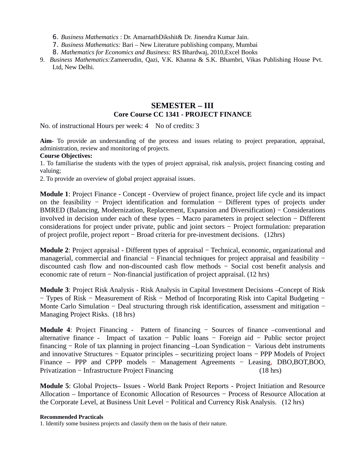6. *Business Mathematics* : Dr. AmarnathDikshit& Dr. Jinendra Kumar Jain.

- 7. *Business Mathematics:* Bari New Literature publishing company, Mumbai
- 8. *Mathematics for Economics and Business:* RS Bhardwaj, 2010,Excel Books
- 9. *Business Mathematics:*Zameerudin, Qazi, V.K. Khanna & S.K. Bhambri, Vikas Publishing House Pvt. Ltd, New Delhi.

## **SEMESTER – III Core Course CC 1341 - PROJECT FINANCE**

No. of instructional Hours per week: 4 No of credits: 3

**Aim**- To provide an understanding of the process and issues relating to project preparation, appraisal, administration, review and monitoring of projects.

#### **Course Objectives:**

1. To familiarise the students with the types of project appraisal, risk analysis, project financing costing and valuing;

2. To provide an overview of global project appraisal issues.

**Module 1**: Project Finance - Concept - Overview of project finance, project life cycle and its impact on the feasibility − Project identification and formulation − Different types of projects under BMRED (Balancing, Modernization, Replacement, Expansion and Diversification) – Considerations involved in decision under each of these types − Macro parameters in project selection − Different considerations for project under private, public and joint sectors − Project formulation: preparation of project profile, project report − Broad criteria for pre-investment decisions. (12hrs)

**Module 2**: Project appraisal - Different types of appraisal − Technical, economic, organizational and managerial, commercial and financial − Financial techniques for project appraisal and feasibility − discounted cash flow and non-discounted cash flow methods − Social cost benefit analysis and economic rate of return − Non-financial justification of project appraisal. (12 hrs)

**Module 3**: Project Risk Analysis - Risk Analysis in Capital Investment Decisions –Concept of Risk − Types of Risk − Measurement of Risk − Method of Incorporating Risk into Capital Budgeting − Monte Carlo Simulation − Deal structuring through risk identification, assessment and mitigation − Managing Project Risks. (18 hrs)

**Module 4**: Project Financing - Pattern of financing − Sources of finance –conventional and alternative finance - Impact of taxation − Public loans − Foreign aid − Public sector project financing − Role of tax planning in project financing –Loan Syndication − Various debt instruments and innovative Structures − Equator principles – securitizing project loans − PPP Models of Project Finance – PPP and CPPP models − Management Agreements − Leasing, DBO,BOT,BOO, Privatization − Infrastructure Project Financing (18 hrs)

**Module 5**: Global Projects– Issues - World Bank Project Reports - Project Initiation and Resource Allocation – Importance of Economic Allocation of Resources − Process of Resource Allocation at the Corporate Level, at Business Unit Level − Political and Currency Risk Analysis. (12 hrs)

#### **Recommended Practicals**

1. Identify some business projects and classify them on the basis of their nature.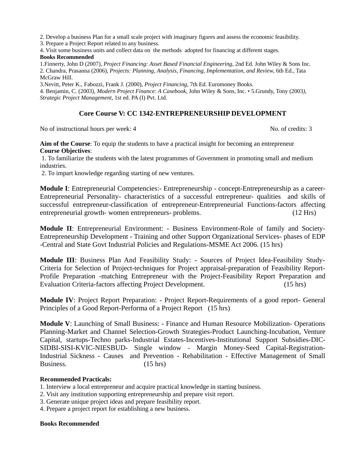2. Develop a business Plan for a small scale project with imaginary figures and assess the economic feasibility.

3. Prepare a Project Report related to any business.

4. Visit some business units and collect data on the methods adopted for financing at different stages.

#### **Books Recommended**

1.Finnerty, John D (2007), *Project Financing: Asset Based Financial Engineering*, 2nd Ed. John Wiley & Sons Inc. 2. Chandra, Prasanna (2006), *Projects: Planning, Analysis, Financing, Implementation, and Review,* 6th Ed., Tata McGraw Hill.

3.Nevitt, Peter K., Fabozzi, Frank J. (2000), *Project Financing*, 7th Ed. Euromoney Books.

4. Benjamin, C. (2003), *Modern Project Finance: A Casebook*, John Wiley & Sons, Inc. • 5.Grundy, Tony (2003*), Strategic Project Management*, 1st ed. PA (I) Pvt. Ltd.

### **Core Course V: CC 1342-ENTREPRENEURSHIP DEVELOPMENT**

No of instructional hours per week: 4 No. of credits: 3

**Aim of the Course**: To equip the students to have a practical insight for becoming an entrepreneur **Course Objectives**:

1. To familiarize the students with the latest programmes of Government in promoting small and medium industries.

2. To impart knowledge regarding starting of new ventures.

**Module I**: Entrepreneurial Competencies:- Entrepreneurship - concept-Entrepreneurship as a career-Entrepreneurial Personality- characteristics of a successful entrepreneur- qualities and skills of successful entrepreneur-classification of entrepreneur-Entrepreneurial Functions-factors affecting entrepreneurial growth- women entrepreneurs- problems. (12 Hrs)

**Module II**: Entrepreneurial Environment: - Business Environment-Role of family and Society-Entrepreneurship Development - Training and other Support Organizational Services- phases of EDP -Central and State Govt Industrial Policies and Regulations-MSME Act 2006. (15 hrs)

**Module III**: Business Plan And Feasibility Study: - Sources of Project Idea-Feasibility Study-Criteria for Selection of Project-techniques for Project appraisal-preparation of Feasibility Report-Profile Preparation -matching Entrepreneur with the Project-Feasibility Report Preparation and Evaluation Criteria-factors affecting Project Development. (15 hrs)

**Module IV**: Project Report Preparation: - Project Report-Requirements of a good report- General Principles of a Good Report-Performa of a Project Report (15 hrs)

**Module V**: Launching of Small Business: - Finance and Human Resource Mobilization- Operations Planning-Market and Channel Selection-Growth Strategies-Product Launching-Incubation, Venture Capital, startups-Techno parks-Industrial Estates-Incentives-Institutional Support Subsidies-DIC-SIDBI-SISI-KVIC-NIESBUD- Single window - Margin Money-Seed Capital-Registration-Industrial Sickness - Causes and Prevention - Rehabilitation - Effective Management of Small Business. (15 hrs)

#### **Recommended Practicals:**

1. Interview a local entrepreneur and acquire practical knowledge in starting business.

- 2. Visit any institution supporting entrepreneurship and prepare visit report.
- 3. Generate unique project ideas and prepare feasibility report.

4. Prepare a project report for establishing a new business.

#### **Books Recommended**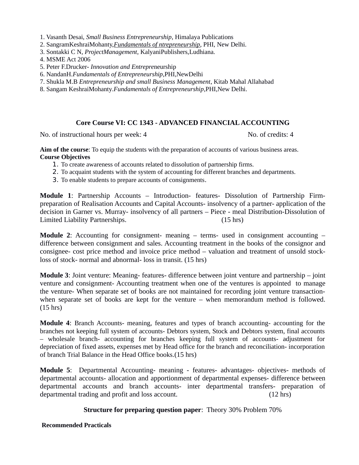1. Vasanth Desai, *Small Business Entrepreneurship*, Himalaya Publications

- 2. SangramKeshraiMohanty,*Fundamentals of ntrepreneurship*, PHI, New Delhi.
- 3. Sontakki C N, *ProjectManagement*, KalyaniPublishers,Ludhiana.
- 4. MSME Act 2006
- 5. Peter F.Drucker- *Innovation and Entrepre*neurship
- 6. NandanH.*Fundamentals of Entrepreneurship*,PHI,NewDelhi
- 7. Shukla M.B *Entrepreneurship and small Business Management*, Kitab Mahal Allahabad
- 8. Sangam KeshraiMohanty*.Fundamentals of Entrepreneurship*,PHI,New Delhi.

#### **Core Course VI: CC 1343 - ADVANCED FINANCIAL ACCOUNTING**

No. of instructional hours per week: 4 No. of credits: 4

**Aim of the course**: To equip the students with the preparation of accounts of various business areas. **Course Objectives**

- 1. To create awareness of accounts related to dissolution of partnership firms.
- 2. To acquaint students with the system of accounting for different branches and departments.
- 3. To enable students to prepare accounts of consignments.

**Module 1**: Partnership Accounts – Introduction- features- Dissolution of Partnership Firmpreparation of Realisation Accounts and Capital Accounts- insolvency of a partner- application of the decision in Garner vs. Murray- insolvency of all partners – Piece - meal Distribution-Dissolution of Limited Liability Partnerships. (15 hrs)

**Module 2**: Accounting for consignment- meaning – terms- used in consignment accounting – difference between consignment and sales. Accounting treatment in the books of the consignor and consignee- cost price method and invoice price method – valuation and treatment of unsold stockloss of stock- normal and abnormal- loss in transit. (15 hrs)

**Module 3**: Joint venture: Meaning- features- difference between joint venture and partnership – joint venture and consignment- Accounting treatment when one of the ventures is appointed to manage the venture- When separate set of books are not maintained for recording joint venture transactionwhen separate set of books are kept for the venture – when memorandum method is followed. (15 hrs)

**Module 4**: Branch Accounts- meaning, features and types of branch accounting- accounting for the branches not keeping full system of accounts- Debtors system, Stock and Debtors system, final accounts – wholesale branch- accounting for branches keeping full system of accounts- adjustment for depreciation of fixed assets, expenses met by Head office for the branch and reconciliation- incorporation of branch Trial Balance in the Head Office books.(15 hrs)

**Module 5**: Departmental Accounting- meaning - features- advantages- objectives- methods of departmental accounts- allocation and apportionment of departmental expenses- difference between departmental accounts and branch accounts- inter departmental transfers- preparation of departmental trading and profit and loss account. (12 hrs)

#### **Structure for preparing question paper**: Theory 30% Problem 70%

**Recommended Practicals**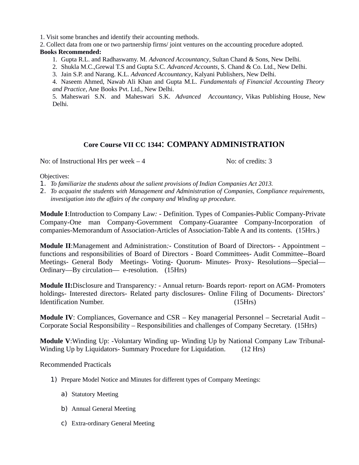1. Visit some branches and identify their accounting methods.

2. Collect data from one or two partnership firms/ joint ventures on the accounting procedure adopted.

### **Books Recommended:**

- 1. Gupta R.L. and Radhaswamy. M. *Advanced Accountancy*, Sultan Chand & Sons, New Delhi.
- 2. Shukla M.C.,Grewal T.S and Gupta S.C. *Advanced Accounts*, S. Chand & Co. Ltd., New Delhi.
- 3. Jain S.P. and Narang. K.L. *Advanced Accountancy*, Kalyani Publishers, New Delhi.

4. Naseem Ahmed, Nawab Ali Khan and Gupta M.L. *Fundamentals of Financial Accounting Theory and Practice*, Ane Books Pvt. Ltd., New Delhi.

5. Maheswari S.N. and Maheswari S.K. *Advanced Accountancy*, Vikas Publishing House, New Delhi.

## **Core Course VII CC 1344**: **COMPANY ADMINISTRATION**

No: of Instructional Hrs per week  $-4$  No: of credits: 3

Objectives:

- 1. *To familiarize the students about the salient provisions of Indian Companies Act 2013.*
- 2. *To acquaint the students with Management and Administration of Companies, Compliance requirements, investigation into the affairs of the company and Winding up procedure.*

**Module I**:Introduction to Company La*w: -* Definition. Types of Companies-Public Company-Private Company-One man Company-Government Company-Guarantee Company-Incorporation of companies-Memorandum of Association-Articles of Association-Table A and its contents. (15Hrs.)

**Module II**:Management and Administration*:-* Constitution of Board of Directors- - Appointment – functions and responsibilities of Board of Directors - Board Committees- Audit Committee--Board Meetings- General Body Meetings- Voting- Quorum- Minutes- Proxy- Resolutions—Special— Ordinary—By circulation— e-resolution. (15Hrs)

**Module II:**Disclosure and Transparency*: -* Annual return- Boards report- report on AGM- Promoters holdings- Interested directors- Related party disclosures- Online Filing of Documents- Directors' Identification Number. (15Hrs)

**Module IV**: Compliances, Governance and CSR – Key managerial Personnel – Secretarial Audit – Corporate Social Responsibility – Responsibilities and challenges of Company Secretary. (15Hrs)

**Module V**:Winding Up: -Voluntary Winding up- Winding Up by National Company Law Tribunal-Winding Up by Liquidators- Summary Procedure for Liquidation. (12 Hrs)

Recommended Practicals

- 1) Prepare Model Notice and Minutes for different types of Company Meetings:
	- a) Statutory Meeting
	- b) Annual General Meeting
	- c) Extra-ordinary General Meeting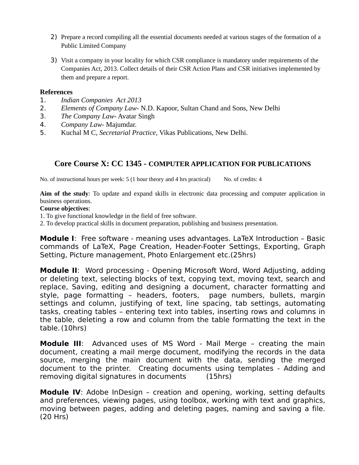- 2) Prepare a record compiling all the essential documents needed at various stages of the formation of a Public Limited Company
- 3) Visit a company in your locality for which CSR compliance is mandatory under requirements of the Companies Act, 2013. Collect details of their CSR Action Plans and CSR initiatives implemented by them and prepare a report.

## **References**

- 1. *Indian Companies Act 2013*
- 2. *Elements of Company Law* N.D. Kapoor, Sultan Chand and Sons, New Delhi
- 3. *The Company Law* Avatar Singh
- 4. *Company Law* Majumdar.
- 5. Kuchal M C, *Secretarial Practice*, Vikas Publications, New Delhi.

## **Core Course X: CC 1345 - COMPUTER APPLICATION FOR PUBLICATIONS**

No. of instructional hours per week: 5 (1 hour theory and 4 hrs practical) No. of credits: 4

**Aim of the study**: To update and expand skills in electronic data processing and computer application in business operations.

### **Course objectives**:

- 1. To give functional knowledge in the field of free software.
- 2. To develop practical skills in document preparation, publishing and business presentation.

**Module I:** Free software - meaning uses advantages. LaTeX Introduction - Basic commands of LaTeX, Page Creation, Header-Footer Settings, Exporting, Graph Setting, Picture management, Photo Enlargement etc.(25hrs)

**Module II**: Word processing - Opening Microsoft Word, Word Adjusting, adding or deleting text, selecting blocks of text, copying text, moving text, search and replace, Saving, editing and designing a document, character formatting and style, page formatting – headers, footers, page numbers, bullets, margin settings and column, justifying of text, line spacing, tab settings, automating tasks, creating tables – entering text into tables, inserting rows and columns in the table, deleting a row and column from the table formatting the text in the table.(10hrs)

**Module III**: Advanced uses of MS Word - Mail Merge – creating the main document, creating a mail merge document, modifying the records in the data source, merging the main document with the data, sending the merged document to the printer. Creating documents using templates - Adding and removing digital signatures in documents (15hrs)

**Module IV**: Adobe InDesign – creation and opening, working, setting defaults and preferences, viewing pages, using toolbox, working with text and graphics, moving between pages, adding and deleting pages, naming and saving a file. (20 Hrs)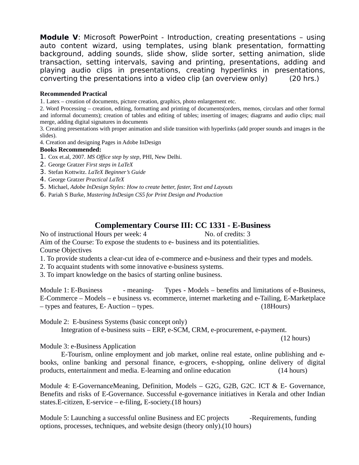**Module V**: Microsoft PowerPoint - Introduction, creating presentations – using auto content wizard, using templates, using blank presentation, formatting background, adding sounds, slide show, slide sorter, setting animation, slide transaction, setting intervals, saving and printing, presentations, adding and playing audio clips in presentations, creating hyperlinks in presentations, converting the presentations into a video clip (an overview only) (20 hrs.)

#### **Recommended Practical**

1. Latex – creation of documents, picture creation, graphics, photo enlargement etc.

2. Word Processing – creation, editing, formatting and printing of documents(orders, memos, circulars and other formal and informal documents); creation of tables and editing of tables; inserting of images; diagrams and audio clips; mail merge, adding digital signatures in documents

3. Creating presentations with proper animation and slide transition with hyperlinks (add proper sounds and images in the slides).

4. Creation and designing Pages in Adobe InDesign

#### **Books Recommended:**

- 1. Cox et.al, 2007. *MS Office step by step*, PHI, New Delhi.
- 2. George Gratzer *First steps in LaTeX*
- 3. Stefan Kottwitz. *LaTeX Beginner's Guide*
- 4. George Gratzer *Practical LaTeX*
- 5. Michael, *Adobe InDesign Styles: How to create better, faster, Text and Layouts*
- 6. Pariah S Burke, *Mastering InDesign CS5 for Print Design and Production*

## **Complementary Course III: CC 1331 - E-Business**

No of instructional Hours per week: 4 No. of credits: 3 Aim of the Course: To expose the students to e- business and its potentialities. Course Objectives

- 1. To provide students a clear-cut idea of e-commerce and e-business and their types and models.
- 2. To acquaint students with some innovative e-business systems.
- 3. To impart knowledge on the basics of starting online business.

Module 1: E-Business - meaning- Types - Models – benefits and limitations of e-Business, E-Commerce – Models – e business vs. ecommerce, internet marketing and e-Tailing, E-Marketplace – types and features, E- Auction – types. (18Hours)

Module 2: E-business Systems (basic concept only)

Integration of e-business suits – ERP, e-SCM, CRM, e-procurement, e-payment.

(12 hours)

Module 3: e-Business Application

E-Tourism, online employment and job market, online real estate, online publishing and ebooks, online banking and personal finance, e-grocers, e-shopping, online delivery of digital products, entertainment and media. E-learning and online education (14 hours)

Module 4: E-GovernanceMeaning, Definition, Models – G2G, G2B, G2C. ICT & E- Governance, Benefits and risks of E-Governance. Successful e-governance initiatives in Kerala and other Indian states.E-citizen, E-service – e-filing, E-society.(18 hours)

Module 5: Launching a successful online Business and EC projects -Requirements, funding options, processes, techniques, and website design (theory only).(10 hours)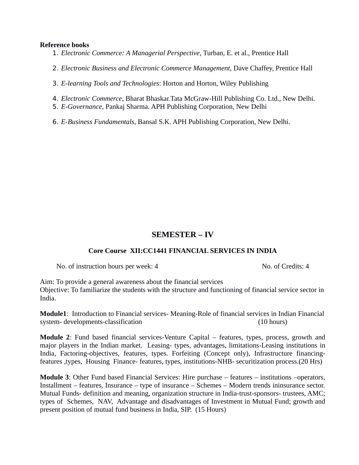#### **Reference books**

- 1. *Electronic Commerce: A Managerial Perspective*, Turban, E. et al., Prentice Hall
- 2. *Electronic Business and Electronic Commerce Management*, Dave Chaffey, Prentice Hall
- 3. *E-learning Tools and Technologies*: Horton and Horton, Wiley Publishing
- 4. *Electronic Commerce*, Bharat Bhaskar.Tata McGraw-Hill Publishing Co. Ltd., New Delhi.
- 5. *E-Governance*, Pankaj Sharma. APH Publishing Corporation, New Delhi
- 6. *E-Business Fundamentals*, Bansal S.K. APH Publishing Corporation, New Delhi.

## **SEMESTER – IV**

#### **Core Course XII:CC1441 FINANCIAL SERVICES IN INDIA**

No. of instruction hours per week: 4 No. of Credits: 4

Aim: To provide a general awareness about the financial services Objective: To familiarize the students with the structure and functioning of financial service sector in India.

**Module1**: Introduction to Financial services- Meaning-Role of financial services in Indian Financial system- developments-classification (10 hours)

**Module 2**: Fund based financial services-Venture Capital – features, types, process, growth and major players in the Indian market. Leasing- types, advantages, limitations-Leasing institutions in India, Factoring-objectives, features, types. Forfeiting (Concept only), Infrastructure financingfeatures ,types, Housing Finance- features, types, institutions-NHB- securitization process.(20 Hrs)

**Module 3**: Other Fund based Financial Services: Hire purchase – features – institutions –operators, Installment – features, Insurance – type of insurance – Schemes – Modern trends ininsurance sector. Mutual Funds- definition and meaning, organization structure in India-trust-sponsors- trustees, AMC; types of Schemes, NAV, Advantage and disadvantages of Investment in Mutual Fund; growth and present position of mutual fund business in India, SIP. (15 Hours)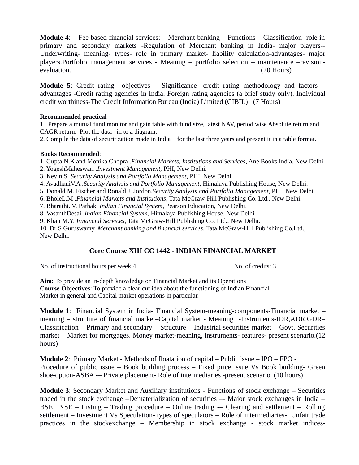**Module 4**: – Fee based financial services: – Merchant banking – Functions – Classification- role in primary and secondary markets -Regulation of Merchant banking in India- major players-- Underwriting- meaning- types- role in primary market- liability calculation-advantages- major players.Portfolio management services - Meaning – portfolio selection – maintenance –revisionevaluation. (20 Hours)

**Module 5**: Credit rating –objectives – Significance -credit rating methodology and factors – advantages -Credit rating agencies in India. Foreign rating agencies (a brief study only). Individual credit worthiness-The Credit Information Bureau (India) Limited (CIBIL) (7 Hours)

#### **Recommended practical**

1. Prepare a mutual fund monitor and gain table with fund size, latest NAV, period wise Absolute return and CAGR return. Plot the data in to a diagram.

2. Compile the data of securitization made in India for the last three years and present it in a table format.

#### **Books Recommended**:

1. Gupta N.K and Monika Chopra .*Financial Markets, Institutions and Services*, Ane Books India, New Delhi.

2. YogeshMaheswari .*Investment Management*, PHI, New Delhi.

3. Kevin S. *Security Analysis and Portfolio Management*, PHI, New Delhi.

4. AvadhaniV.A .*Security Analysis and Portfolio Management*, Himalaya Publishing House, New Delhi.

5. Donald M. Fischer and Ronald J. Jordon.*Security Analysis and Portfolio Management*, PHI, New Delhi.

6. BholeL.M .*Financial Markets and Institutions*, Tata McGraw-Hill Publishing Co. Ltd., New Delhi.

7. Bharathi. V. Pathak. *Indian Financial System*, Pearson Education, New Delhi.

8. VasanthDesai .*Indian Financial System*, Himalaya Publishing House, New Delhi.

9. Khan M.Y. *Financial Services*, Tata McGraw-Hill Publishing Co. Ltd., New Delhi.

10 Dr S Guruswamy. *Merchant banking and financial services*, Tata McGraw-Hill Publishing Co.Ltd., New Delhi.

## **Core Course XIII CC 1442 - INDIAN FINANCIAL MARKET**

No. of instructional hours per week 4 No. of credits: 3

**Aim**: To provide an in-depth knowledge on Financial Market and its Operations **Course Objectives**: To provide a clear-cut idea about the functioning of Indian Financial Market in general and Capital market operations in particular.

**Module 1**: Financial System in India- Financial System-meaning-components-Financial market – meaning – structure of financial market–Capital market - Meaning -Instruments-IDR,ADR,GDR– Classification – Primary and secondary – Structure – Industrial securities market – Govt. Securities market – Market for mortgages. Money market-meaning, instruments- features- present scenario.(12 hours)

**Module 2**: Primary Market - Methods of floatation of capital – Public issue – IPO – FPO - Procedure of public issue – Book building process – Fixed price issue Vs Book building- Green shoe-option-ASBA -– Private placement- Role of intermediaries -present scenario (10 hours)

**Module 3**: Secondary Market and Auxiliary institutions - Functions of stock exchange – Securities traded in the stock exchange –Dematerialization of securities –- Major stock exchanges in India –  $BSE$  NSE – Listing – Trading procedure – Online trading – Clearing and settlement – Rolling settlement – Investment Vs Speculation- types of speculators – Role of intermediaries- Unfair trade practices in the stockexchange – Membership in stock exchange - stock market indices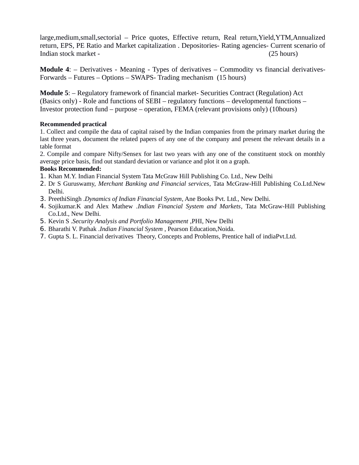large,medium,small,sectorial – Price quotes, Effective return, Real return,Yield,YTM,Annualized return, EPS, PE Ratio and Market capitalization . Depositories- Rating agencies- Current scenario of Indian stock market - (25 hours)

**Module 4**: – Derivatives - Meaning - Types of derivatives – Commodity vs financial derivatives-Forwards – Futures – Options – SWAPS- Trading mechanism (15 hours)

**Module 5**: – Regulatory framework of financial market- Securities Contract (Regulation) Act (Basics only) - Role and functions of SEBI – regulatory functions – developmental functions – Investor protection fund – purpose – operation, FEMA (relevant provisions only) (10hours)

#### **Recommended practical**

1. Collect and compile the data of capital raised by the Indian companies from the primary market during the last three years, document the related papers of any one of the company and present the relevant details in a table format

2. Compile and compare Nifty/Sensex for last two years with any one of the constituent stock on monthly average price basis, find out standard deviation or variance and plot it on a graph.

#### **Books Recommended:**

- 1. Khan M.Y. Indian Financial System Tata McGraw Hill Publishing Co. Ltd., New Delhi
- 2. Dr S Guruswamy, *Merchant Banking and Financial services*, Tata McGraw-Hill Publishing Co.Ltd.New Delhi.
- 3. PreethiSingh .*Dynamics of Indian Financial System*, Ane Books Pvt. Ltd., New Delhi.
- 4. Sojikumar.K and Alex Mathew .*Indian Financial System and Markets*, Tata McGraw-Hill Publishing Co.Ltd., New Delhi.
- 5. Kevin S .*Security Analysis and Portfolio Management* ,PHI, New Delhi
- 6. Bharathi V. Pathak .*Indian Financial System* , Pearson Education,Noida.
- 7. Gupta S. L. Financial derivatives Theory, Concepts and Problems, Prentice hall of indiaPvt.Ltd.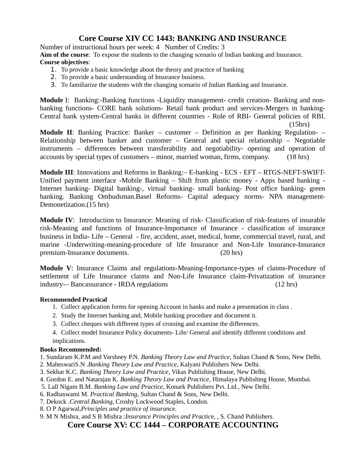# **Core Course XIV CC 1443: BANKING AND INSURANCE**

Number of instructional hours per week: 4 Number of Credits: 3

**Aim of the course**: To expose the students to the changing scenario of Indian banking and Insurance. **Course objectives**:

- 1. To provide a basic knowledge about the theory and practice of banking
- 2. To provide a basic understanding of Insurance business.
- 3. To familiarize the students with the changing scenario of Indian Banking and Insurance.

**Module** I: Banking:-Banking functions -Liquidity management- credit creation- Banking and nonbanking functions- CORE bank solutions- Retail bank product and services-Mergers in banking-Central bank system-Central banks in different countries - Role of RBI- General policies of RBI.

(15hrs)

**Module II**: Banking Practice: Banker – customer – Definition as per Banking Regulation- – Relationship between banker and customer – General and special relationship – Negotiable instruments – differences between transferability and negotiability- opening and operation of accounts by special types of customers – minor, married woman, firms, company. (18 hrs)

**Module III**: Innovations and Reforms in Banking:– E-banking - ECS - EFT – RTGS-NEFT-SWIFT-Unified payment interface -Mobile Banking – Shift from plastic money - Apps based banking - Internet banking- Digital banking-, virtual banking- small banking- Post office banking- green banking. Banking Ombudsman.Basel Reforms- Capital adequacy norms- NPA management-Demonetization.(15 hrs)

**Module IV**: Introduction to Insurance: Meaning of risk- Classification of risk-features of insurable risk-Meaning and functions of Insurance-Importance of Insurance - classification of insurance business in India- Life – General - fire, accident, asset, medical, home, commercial travel, rural, and marine -Underwriting-meaning-procedure of life Insurance and Non-Life Insurance-Insurance premium-Insurance documents. (20 hrs)

**Module V**: Insurance Claims and regulations-Meaning-Importance-types of claims-Procedure of settlement of Life Insurance claims and Non-Life Insurance claim-Privatization of insurance industry-– Bancassurance - IRDA regulations (12 hrs)

#### **Recommended Practical**

- 1. Collect application forms for opening Account in banks and make a presentation in class .
- 2. Study the Internet banking and, Mobile banking procedure and document it.
- 3. Collect cheques with different types of crossing and examine the differences.
- 4. Collect model Insurance Policy documents- Life/ General and identify different conditions and implications.

#### **Books Recommended:**

- 1. Sundaram K.P.M and Varshney P.N. *Banking Theory Law and Practice*, Sultan Chand & Sons, New Delhi.
- 2. MaheswariS.N .*Banking Theory Law and Practice*, Kalyani Publishers New Delhi.
- 3. Sekhar K.C. *Banking Theory Law and Practice*, Vikas Publishing House, New Delhi.
- 4. Gordon E. and Natarajan K*. Banking Theory Law and Practice*, Himalaya Publishing House, Mumbai.
- 5. Lall Nigam B.M. *Banking Law and Practice*, Konark Publishers Pvt. Ltd., New Delhi.
- 6. Radhaswami M. *Practical Banking*, Sultan Chand & Sons, New Delhi.
- 7. Dekock .*Central Banking*, Crosby Lockwood Staples, London.
- 8. O P Agarwal,*Principles and practice of insurance.*
- 9. M N Mishra, and S B Mishra :*Insurance Principles and Practic*e, , S. Chand Publishers.

## **Core Course XV: CC 1444 – CORPORATE ACCOUNTING**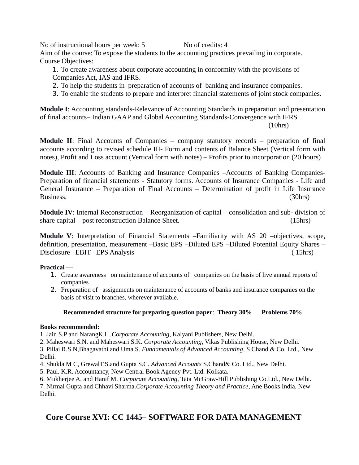No of instructional hours per week: 5 No of credits: 4 Aim of the course: To expose the students to the accounting practices prevailing in corporate. Course Objectives:

1. To create awareness about corporate accounting in conformity with the provisions of Companies Act, IAS and IFRS.

- 2. To help the students in preparation of accounts of banking and insurance companies.
- 3. To enable the students to prepare and interpret financial statements of joint stock companies.

**Module I**: Accounting standards-Relevance of Accounting Standards in preparation and presentation of final accounts– Indian GAAP and Global Accounting Standards-Convergence with IFRS (10hrs)

**Module II**: Final Accounts of Companies – company statutory records – preparation of final accounts according to revised schedule III- Form and contents of Balance Sheet (Vertical form with notes), Profit and Loss account (Vertical form with notes) – Profits prior to incorporation (20 hours)

**Module III**: Accounts of Banking and Insurance Companies –Accounts of Banking Companies-Preparation of financial statements - Statutory forms. Accounts of Insurance Companies - Life and General Insurance – Preparation of Final Accounts – Determination of profit in Life Insurance Business. (30hrs)

**Module IV**: Internal Reconstruction – Reorganization of capital – consolidation and sub- division of share capital – post reconstruction Balance Sheet. (15hrs)

**Module V**: Interpretation of Financial Statements –Familiarity with AS 20 –objectives, scope, definition, presentation, measurement –Basic EPS –Diluted EPS –Diluted Potential Equity Shares – Disclosure –EBIT –EPS Analysis ( 15hrs)

## **Practical —**

- 1. Create awareness on maintenance of accounts of companies on the basis of live annual reports of companies
- 2. Preparation of assignments on maintenance of accounts of banks and insurance companies on the basis of visit to branches, wherever available.

## **Recommended structure for preparing question paper**: **Theory 30% Problems 70%**

## **Books recommended:**

1. Jain S.P and NarangK.L .*Corporate Accounting*, Kalyani Publishers, New Delhi.

2. Maheswari S.N. and Maheswari S.K. *Corporate Accounting*, Vikas Publishing House, New Delhi.

3. Pillai R.S N,Bhagavathi and Uma S. *Fundamentals of Advanced Accounting*, S Chand & Co. Ltd., New Delhi.

4. Shukla M C, GrewalT.S.and Gupta S.C. *Advanced Accounts* S.Chand& Co. Ltd., New Delhi.

5. Paul. K.R. Accountancy, New Central Book Agency Pvt. Ltd. Kolkata.

6. Mukherjee A. and Hanif M. *Corporate Accounting*, Tata McGraw-Hill Publishing Co.Ltd., New Delhi.

7. Nirmal Gupta and Chhavi Sharma.*Corporate Accounting Theory and Practice*, Ane Books India, New Delhi.

# **Core Course XVI: CC 1445– SOFTWARE FOR DATA MANAGEMENT**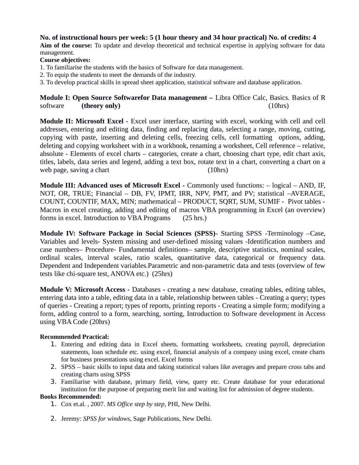### **No. of instructional hours per week: 5 (1 hour theory and 34 hour practical) No. of credits: 4**

**Aim of the course:** To update and develop theoretical and technical expertise in applying software for data management.

#### **Course objectives:**

- 1. To familiarise the students with the basics of Software for data management.
- 2. To equip the students to meet the demands of the industry.
- 3. To develop practical skills in spread sheet application, statistical software and database application.

**Module I: Open Source Softwarefor Data management –** Libra Office Calc, Basics. Basics of R software **(theory only)** (10hrs)

**Module II: Microsoft Excel -** Excel user interface, starting with excel, working with cell and cell addresses, entering and editing data, finding and replacing data, selecting a range, moving, cutting, copying with paste, inserting and deleting cells, freezing cells, cell formatting options, adding, deleting and copying worksheet with in a workbook, renaming a worksheet, Cell reference – relative, absolute - Elements of excel charts – categories, create a chart, choosing chart type, edit chart axis, titles, labels, data series and legend, adding a text box, rotate text in a chart, converting a chart on a web page, saving a chart (10hrs)

**Module III: Advanced uses of Microsoft Excel -** Commonly used functions: – logical – AND, IF, NOT, OR, TRUE; Financial – DB, FV, IPMT, IRR, NPV, PMT, and PV; statistical –AVERAGE, COUNT, COUNTIF, MAX, MIN; mathematical – PRODUCT, SQRT, SUM, SUMIF - Pivot tables - Macros in excel creating, adding and editing of macros VBA programming in Excel (an overview) forms in excel. Introduction to VBA Programs (25 hrs.)

**Module IV: Software Package in Social Sciences (SPSS)-** Starting SPSS -Terminology –Case, Variables and levels- System missing and user-defined missing values -Identification numbers and case numbers– Procedure- Fundamental definitions– sample, descriptive statistics, nominal scales, ordinal scales, interval scales, ratio scales, quantitative data, categorical or frequency data. Dependent and Independent variables.Parametric and non-parametric data and tests (overview of few tests like chi-square test, ANOVA etc.) (25hrs)

**Module V: Microsoft Access -** Databases **-** creating a new database, creating tables, editing tables, entering data into a table, editing data in a table, relationship between tables - Creating a query; types of queries - Creating a report; types of reports, printing reports - Creating a simple form; modifying a form, adding control to a form, searching, sorting, Introduction to Software development in Access using VBA Code (20hrs)

#### **Recommended Practical:**

- 1. Entering and editing data in Excel sheets, formatting worksheets, creating payroll, depreciation statements, loan schedule etc. using excel, financial analysis of a company using excel, create charts for business presentations using excel. Excel forms
- 2. SPSS basic skills to input data and taking statistical values like averages and prepare cross tabs and creating charts using SPSS
- 3. Familiarise with database, primary field, view, query etc. Create database for your educational institution for the purpose of preparing merit list and waiting list for admission of degree students.

#### **Books Recommended:**

- 1. Cox et.al. , 2007. *MS Office step by step*, PHI, New Delhi.
- 2. Jeremy: *SPSS for windows*, Sage Publications, New Delhi.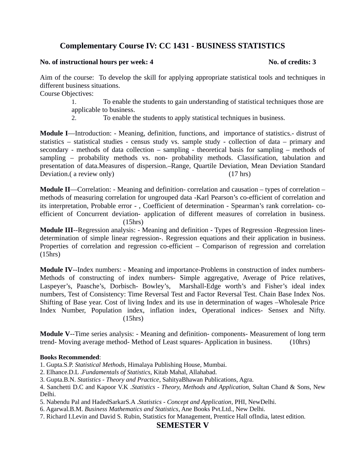# **Complementary Course IV: CC 1431 - BUSINESS STATISTICS**

#### **No. of instructional hours per week: 4 No. of credits: 3**

Aim of the course: To develop the skill for applying appropriate statistical tools and techniques in different business situations.

Course Objectives:

1. To enable the students to gain understanding of statistical techniques those are applicable to business.

2. To enable the students to apply statistical techniques in business.

**Module I**—Introduction: - Meaning, definition, functions, and importance of statistics.- distrust of statistics – statistical studies - census study vs. sample study - collection of data – primary and secondary - methods of data collection – sampling - theoretical basis for sampling – methods of sampling – probability methods vs. non- probability methods. Classification, tabulation and presentation of data.Measures of dispersion.–Range, Quartile Deviation, Mean Deviation Standard Deviation.( a review only) (17 hrs)

**Module II**—Correlation: - Meaning and definition- correlation and causation – types of correlation – methods of measuring correlation for ungrouped data -Karl Pearson's co-efficient of correlation and its interpretation, Probable error - , Coefficient of determination - Spearman's rank correlation- coefficient of Concurrent deviation- application of different measures of correlation in business. (15hrs)

**Module III**--Regression analysis: - Meaning and definition - Types of Regression -Regression linesdetermination of simple linear regression-. Regression equations and their application in business. Properties of correlation and regression co-efficient – Comparison of regression and correlation (15hrs)

**Module IV**--Index numbers: - Meaning and importance-Problems in construction of index numbers-Methods of constructing of index numbers- Simple aggregative, Average of Price relatives, Laspeyer's, Paasche's, Dorbisch- Bowley's, Marshall-Edge worth's and Fisher's ideal index numbers, Test of Consistency: Time Reversal Test and Factor Reversal Test. Chain Base Index Nos. Shifting of Base year. Cost of living Index and its use in determination of wages –Wholesale Price Index Number, Population index, inflation index, Operational indices- Sensex and Nifty. (15hrs)

**Module V**--Time series analysis: - Meaning and definition- components- Measurement of long term trend- Moving average method- Method of Least squares- Application in business. (10hrs)

#### **Books Recommended**:

1. Gupta.S.P. *Statistical Methods*, Himalaya Publishing House, Mumbai.

2. Elhance.D.L .*Fundamentals of Statistics*, Kitab Mahal, Allahabad.

3. Gupta.B.N. *Statistics - Theory and Practice*, SahityaBhawan Publications, Agra.

4. Sanchetti D.C and Kapoor V.K .*Statistics - Theory, Methods and Application,* Sultan Chand & Sons, New Delhi.

5. Nabendu Pal and HadedSarkarS.A .*Statistics - Concept and Application*, PHI, NewDelhi.

6. Agarwal.B.M. *Business Mathematics and Statistics*, Ane Books Pvt.Ltd., New Delhi.

7. Richard I.Levin and David S. Rubin, Statistics for Management, Prentice Hall ofIndia, latest edition.

## **SEMESTER V**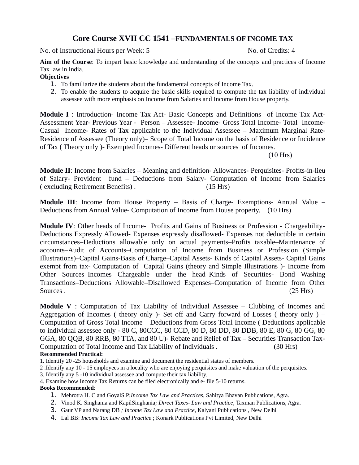# **Core Course XVII CC 1541 –FUNDAMENTALS OF INCOME TAX**

No. of Instructional Hours per Week: 5 No. of Credits: 4

**Aim of the Course**: To impart basic knowledge and understanding of the concepts and practices of Income Tax law in India.

**Objectives**

- 1. To familiarize the students about the fundamental concepts of Income Tax.
- 2. To enable the students to acquire the basic skills required to compute the tax liability of individual assessee with more emphasis on Income from Salaries and Income from House property.

**Module I** : Introduction- Income Tax Act- Basic Concepts and Definitions of Income Tax Act-Assessment Year- Previous Year - Person – Assessee- Income- Gross Total Income- Total Income-Casual Income- Rates of Tax applicable to the Individual Assessee – Maximum Marginal Rate-Residence of Assessee (Theory only)– Scope of Total Income on the basis of Residence or Incidence of Tax ( Theory only )- Exempted Incomes- Different heads or sources of Incomes.

(10 Hrs)

**Module II**: Income from Salaries – Meaning and definition- Allowances- Perquisites- Profits-in-lieu of Salary- Provident fund – Deductions from Salary- Computation of Income from Salaries ( excluding Retirement Benefits) . (15 Hrs)

**Module III**: Income from House Property – Basis of Charge- Exemptions- Annual Value – Deductions from Annual Value- Computation of Income from House property. (10 Hrs)

**Module IV**: Other heads of Income- Profits and Gains of Business or Profession - Chargeability-Deductions Expressly Allowed- Expenses expressly disallowed- Expenses not deductible in certain circumstances–Deductions allowable only on actual payments–Profits taxable–Maintenance of accounts–Audit of Accounts–Computation of Income from Business or Profession (Simple Illustrations)–Capital Gains-Basis of Charge–Capital Assets- Kinds of Capital Assets- Capital Gains exempt from tax- Computation of Capital Gains (theory and Simple Illustrations )- Income from Other Sources–Incomes Chargeable under the head–Kinds of Securities- Bond Washing Transactions–Deductions Allowable–Disallowed Expenses–Computation of Income from Other Sources . (25 Hrs)

**Module V** : Computation of Tax Liability of Individual Assessee – Clubbing of Incomes and Aggregation of Incomes ( theory only )- Set off and Carry forward of Losses ( theory only ) – Computation of Gross Total Income – Deductions from Gross Total Income ( Deductions applicable to individual assessee only - 80 C, 80CCC, 80 CCD, 80 D, 80 DD, 80 DDB, 80 E, 80 G, 80 GG, 80 GGA, 80 QQB, 80 RRB, 80 TTA, and 80 U)- Rebate and Relief of Tax – Securities Transaction Tax-Computation of Total Income and Tax Liability of Individuals . (30 Hrs) **Recommended Practical:** 

1. Identify 20 -25 households and examine and document the residential status of members.

2 .Identify any 10 - 15 employees in a locality who are enjoying perquisites and make valuation of the perquisites.

3. Identify any 5 -10 individual assessee and compute their tax liability.

4. Examine how Income Tax Returns can be filed electronically and e- file 5-10 returns.

#### **Books Recommended**:

- 1. Mehrotra H. C and GoyalS.P;*Income Tax Law and Practices*, Sahitya Bhavan Publications, Agra.
- 2. Vinod K. Singhania and KapilSinghania*; Direct Taxes- Law and Practice*, Taxman Publications, Agra.
- 3. Gaur VP and Narang DB *; Income Tax Law and Practice*, Kalyani Publications , New Delhi
- 4. Lal BB: *Income Tax Law and Practice* ; Konark Publications Pvt Limited, New Delhi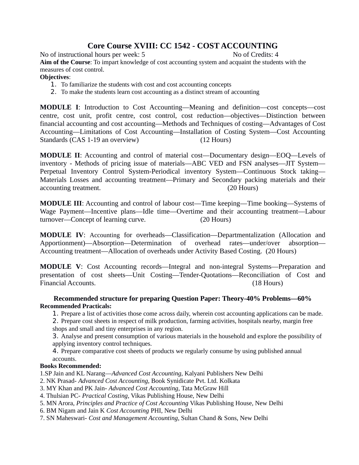# **Core Course XVIII: CC 1542 - COST ACCOUNTING**

No of instructional hours per week: 5 No of Credits: 4

**Aim of the Course**: To impart knowledge of cost accounting system and acquaint the students with the measures of cost control.

## **Objectives**:

- 1. To familiarize the students with cost and cost accounting concepts
- 2. To make the students learn cost accounting as a distinct stream of accounting

**MODULE I**: Introduction to Cost Accounting—Meaning and definition—cost concepts—cost centre, cost unit, profit centre, cost control, cost reduction—objectives—Distinction between financial accounting and cost accounting—Methods and Techniques of costing—Advantages of Cost Accounting—Limitations of Cost Accounting—Installation of Costing System—Cost Accounting Standards (CAS 1-19 an overview) (12 Hours)

**MODULE II**: Accounting and control of material cost—Documentary design—EOQ—Levels of inventory - Methods of pricing issue of materials—ABC VED and FSN analyses—JIT System— Perpetual Inventory Control System-Periodical inventory System—Continuous Stock taking— Materials Losses and accounting treatment—Primary and Secondary packing materials and their accounting treatment. (20 Hours)

**MODULE III**: Accounting and control of labour cost—Time keeping—Time booking—Systems of Wage Payment—Incentive plans—Idle time—Overtime and their accounting treatment—Labour turnover—Concept of learning curve. (20 Hours)

**MODULE IV**: Accounting for overheads—Classification—Departmentalization (Allocation and Apportionment)—Absorption—Determination of overhead rates—under/over absorption— Accounting treatment—Allocation of overheads under Activity Based Costing. (20 Hours)

**MODULE V**: Cost Accounting records—Integral and non-integral Systems—Preparation and presentation of cost sheets—Unit Costing—Tender-Quotations—Reconciliation of Cost and Financial Accounts. (18 Hours)

## **Recommended structure for preparing Question Paper: Theory-40% Problems—60% Recommended Practicals:**

- 1. Prepare a list of activities those come across daily, wherein cost accounting applications can be made.
- 2. Prepare cost sheets in respect of milk production, farming activities, hospitals nearby, margin free shops and small and tiny enterprises in any region.

3. Analyse and present consumption of various materials in the household and explore the possibility of applying inventory control techniques.

4. Prepare comparative cost sheets of products we regularly consume by using published annual accounts.

## **Books Recommended:**

1.SP Jain and KL Narang—*Advanced Cost Accounting*, Kalyani Publishers New Delhi

- 2. NK Prasad- *Advanced Cost Accounting*, Book Synidicate Pvt. Ltd. Kolkata
- 3. MY Khan and PK Jain- *Advanced Cost Accounting,* Tata McGraw Hill
- 4. Thulsian PC- *Practical Costing*, Vikas Publishing House, New Delhi
- 5. MN Arora, *Principles and Practice of Cost Accounting* Vikas Publishing House, New Delhi
- 6. BM Nigam and Jain K *Cost Accounting* PHI, New Delhi
- 7. SN Maheswari- *Cost and Management Accounting*, Sultan Chand & Sons, New Delhi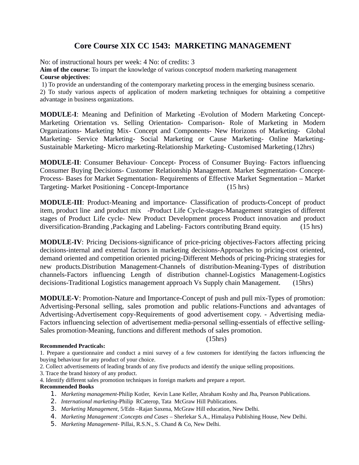# **Core Course XIX CC 1543: MARKETING MANAGEMENT**

No: of instructional hours per week: 4 No: of credits: 3

**Aim of the course**: To impart the knowledge of various conceptsof modern marketing management **Course objectives**:

1) To provide an understanding of the contemporary marketing process in the emerging business scenario.

2) To study various aspects of application of modern marketing techniques for obtaining a competitive advantage in business organizations.

**MODULE-I**: Meaning and Definition of Marketing -Evolution of Modern Marketing Concept-Marketing Orientation vs. Selling Orientation- Comparison- Role of Marketing in Modern Organizations- Marketing Mix- Concept and Components- New Horizons of Marketing- Global Marketing- Service Marketing- Social Marketing or Cause Marketing- Online Marketing-Sustainable Marketing- Micro marketing-Relationship Marketing- Customised Marketing.(12hrs)

**MODULE-II**: Consumer Behaviour- Concept- Process of Consumer Buying- Factors influencing Consumer Buying Decisions- Customer Relationship Management. Market Segmentation- Concept-Process- Bases for Market Segmentation- Requirements of Effective Market Segmentation – Market Targeting- Market Positioning - Concept-Importance (15 hrs)

**MODULE-III**: Product-Meaning and importance- Classification of products-Concept of product item, product line and product mix -Product Life Cycle-stages-Management strategies of different stages of Product Life cycle- New Product Development process Product innovation and product diversification-Branding ,Packaging and Labeling- Factors contributing Brand equity. (15 hrs)

**MODULE-IV**: Pricing Decisions-significance of price-pricing objectives-Factors affecting pricing decisions-internal and external factors in marketing decisions-Approaches to pricing-cost oriented, demand oriented and competition oriented pricing-Different Methods of pricing-Pricing strategies for new products.Distribution Management-Channels of distribution-Meaning-Types of distribution channels-Factors influencing Length of distribution channel-Logistics Management-Logistics decisions-Traditional Logistics management approach Vs Supply chain Management. (15hrs)

**MODULE-V**: Promotion-Nature and Importance-Concept of push and pull mix-Types of promotion: Advertising-Personal selling, sales promotion and public relations-Functions and advantages of Advertising-Advertisement copy-Requirements of good advertisement copy. - Advertising media-Factors influencing selection of advertisement media-personal selling-essentials of effective selling-Sales promotion-Meaning, functions and different methods of sales promotion.

#### (15hrs)

#### **Recommended Practicals:**

1. Prepare a questionnaire and conduct a mini survey of a few customers for identifying the factors influencing the buying behaviour for any product of your choice.

2. Collect advertisements of leading brands of any five products and identify the unique selling propositions.

3. Trace the brand history of any product.

4. Identify different sales promotion techniques in foreign markets and prepare a report.

#### **Recommended Books**

- 1. *Marketing management*-Philip Kotler, Kevin Lane Keller, Abraham Koshy and Jha, Pearson Publications.
- 2. *International marketing*-Philip RCaterop, Tata McGraw Hill Publications.
- 3. *Marketing Management*, 5/Edn –Rajan Saxena, McGraw Hill education, New Delhi.
- 4. *Marketing Management* :*Concepts and Cases*  Sherlekar S.A., Himalaya Publishing House, New Delhi.
- 5. *Marketing Management* Pillai, R.S.N., S. Chand & Co, New Delhi.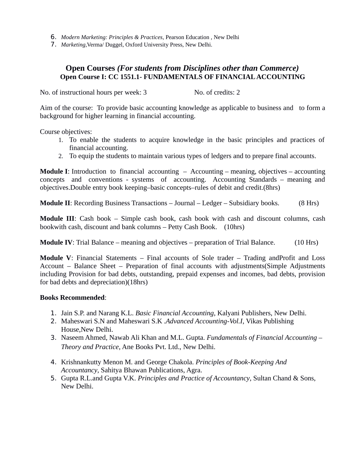- 6. *Modern Marketing: Principles & Practices,* Pearson Education , New Delhi
- 7. *Marketing,*Verma/ Duggel, Oxford University Press, New Delhi.

## **Open Courses** *(For students from Disciplines other than Commerce)* **Open Course I: CC 1551.1- FUNDAMENTALS OF FINANCIAL ACCOUNTING**

No. of instructional hours per week: 3 No. of credits: 2

Aim of the course: To provide basic accounting knowledge as applicable to business and to form a background for higher learning in financial accounting.

Course objectives:

- 1. To enable the students to acquire knowledge in the basic principles and practices of financial accounting.
- 2. To equip the students to maintain various types of ledgers and to prepare final accounts.

**Module I**: Introduction to financial accounting – Accounting – meaning, objectives – accounting concepts and conventions - systems of accounting. Accounting Standards – meaning and objectives.Double entry book keeping–basic concepts–rules of debit and credit.(8hrs)

**Module II:** Recording Business Transactions – Journal – Ledger – Subsidiary books. (8 Hrs)

**Module III**: Cash book – Simple cash book, cash book with cash and discount columns, cash bookwith cash, discount and bank columns – Petty Cash Book. (10hrs)

**Module IV:** Trial Balance – meaning and objectives – preparation of Trial Balance. (10 Hrs)

**Module V**: Financial Statements – Final accounts of Sole trader – Trading andProfit and Loss Account – Balance Sheet – Preparation of final accounts with adjustments(Simple Adjustments including Provision for bad debts, outstanding, prepaid expenses and incomes, bad debts, provision for bad debts and depreciation)(18hrs)

#### **Books Recommended**:

- 1. Jain S.P. and Narang K.L. *Basic Financial Accounting*, Kalyani Publishers, New Delhi.
- 2. Maheswari S.N and Maheswari S.K .*Advanced Accounting-Vol.I*, Vikas Publishing House,New Delhi.
- 3. Naseem Ahmed, Nawab Ali Khan and M.L. Gupta. *Fundamentals of Financial Accounting Theory and Practice*, Ane Books Pvt. Ltd., New Delhi.
- 4. Krishnankutty Menon M. and George Chakola. *Principles of Book-Keeping And Accountancy*, Sahitya Bhawan Publications, Agra.
- 5. Gupta R.L.and Gupta V.K. *Principles and Practice of Accountancy*, Sultan Chand & Sons, New Delhi.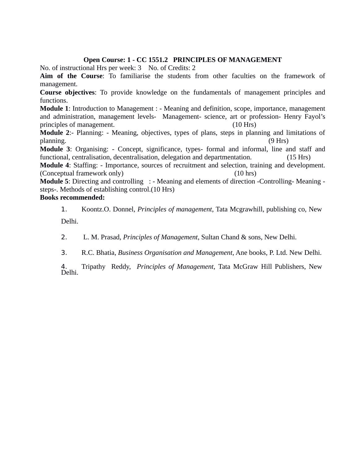## **Open Course: 1 - CC 1551.2 PRINCIPLES OF MANAGEMENT**

No. of instructional Hrs per week: 3 No. of Credits: 2

**Aim of the Course**: To familiarise the students from other faculties on the framework of management.

**Course objectives**: To provide knowledge on the fundamentals of management principles and functions.

**Module 1**: Introduction to Management : - Meaning and definition, scope, importance, management and administration, management levels- Management- science, art or profession- Henry Fayol's principles of management. (10 Hrs)

**Module 2**:- Planning: - Meaning, objectives, types of plans, steps in planning and limitations of planning. (9 Hrs)

**Module 3**: Organising: - Concept, significance, types- formal and informal, line and staff and functional, centralisation, decentralisation, delegation and departmentation. (15 Hrs)

**Module 4**: Staffing: - Importance, sources of recruitment and selection, training and development. (Conceptual framework only) (10 hrs)

**Module 5**: Directing and controlling : - Meaning and elements of direction -Controlling- Meaning steps-. Methods of establishing control.(10 Hrs)

## **Books recommended:**

1. Koontz.O. Donnel, *Principles of management*, Tata Mcgrawhill, publishing co, New Delhi.

2. L. M. Prasad, *Principles of Management*, Sultan Chand & sons, New Delhi.

3. R.C. Bhatia, *Business Organisation and Management*, Ane books, P. Ltd. New Delhi.

4. Tripathy Reddy, *Principles of Management,* Tata McGraw Hill Publishers, New 4.<br>Delhi.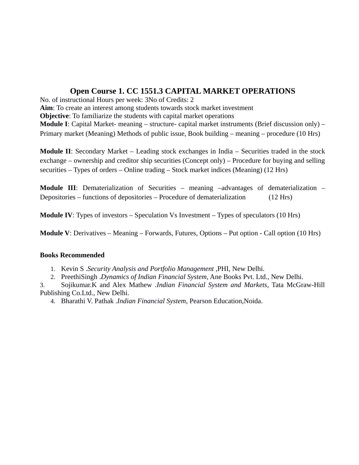# **Open Course 1. CC 1551.3 CAPITAL MARKET OPERATIONS**

No. of instructional Hours per week: 3No of Credits: 2 **Aim**: To create an interest among students towards stock market investment **Objective:** To familiarize the students with capital market operations **Module I**: Capital Market- meaning – structure- capital market instruments (Brief discussion only) – Primary market (Meaning) Methods of public issue, Book building – meaning – procedure (10 Hrs)

**Module II**: Secondary Market – Leading stock exchanges in India – Securities traded in the stock exchange – ownership and creditor ship securities (Concept only) – Procedure for buying and selling securities – Types of orders – Online trading – Stock market indices (Meaning) (12 Hrs)

**Module III**: Dematerialization of Securities – meaning –advantages of dematerialization – Depositories – functions of depositories – Procedure of dematerialization (12 Hrs)

**Module IV**: Types of investors – Speculation Vs Investment – Types of speculators (10 Hrs)

**Module V**: Derivatives – Meaning – Forwards, Futures, Options – Put option - Call option (10 Hrs)

## **Books Recommended**

1. Kevin S .*Security Analysis and Portfolio Management* ,PHI, New Delhi.

2. PreethiSingh .*Dynamics of Indian Financial System*, Ane Books Pvt. Ltd., New Delhi.

3. Sojikumar.K and Alex Mathew .*Indian Financial System and Markets*, Tata McGraw-Hill Publishing Co.Ltd., New Delhi.

4. Bharathi V. Pathak .*Indian Financial System*, Pearson Education,Noida.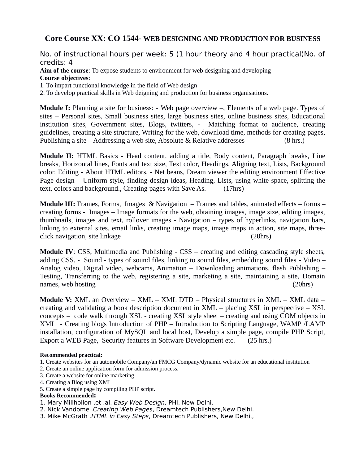## **Core Course XX: CO 1544- WEB DESIGNING AND PRODUCTION FOR BUSINESS**

No. of instructional hours per week: 5 (1 hour theory and 4 hour practical)No. of credits: 4

**Aim of the course**: To expose students to environment for web designing and developing **Course objectives**:

1. To impart functional knowledge in the field of Web design

2. To develop practical skills in Web deigning and production for business organisations.

**Module I:** Planning a site for business: - Web page overview –, Elements of a web page. Types of sites – Personal sites, Small business sites, large business sites, online business sites, Educational institution sites, Government sites, Blogs, twitters, - Matching format to audience, creating guidelines, creating a site structure, Writing for the web, download time, methods for creating pages, Publishing a site – Addressing a web site, Absolute & Relative addresses (8 hrs.)

**Module II:** HTML Basics - Head content, adding a title, Body content, Paragraph breaks, Line breaks, Horizontal lines, Fonts and text size, Text color, Headings, Aligning text, Lists, Background color. Editing - About HTML editors, - Net beans, Dream viewer the editing environment Effective Page design – Uniform style, finding design ideas, Heading, Lists, using white space, splitting the text, colors and background., Creating pages with Save As. (17hrs)

**Module III:** Frames, Forms, Images & Navigation – Frames and tables, animated effects – forms – creating forms - Images – Image formats for the web, obtaining images, image size, editing images, thumbnails, images and text, rollover images - Navigation – types of hyperlinks, navigation bars, linking to external sites, email links, creating image maps, image maps in action, site maps, threeclick navigation, site linkage (20hrs)

**Module IV**: CSS, Multimedia and Publishing - CSS – creating and editing cascading style sheets, adding CSS. - Sound - types of sound files, linking to sound files, embedding sound files - Video – Analog video, Digital video, webcams, Animation – Downloading animations, flash Publishing – Testing, Transferring to the web, registering a site, marketing a site, maintaining a site, Domain names, web hosting (20hrs) (20hrs)

**Module V:** XML an Overview – XML – XML DTD – Physical structures in XML – XML data – creating and validating a book description document in XML – placing XSL in perspective – XSL concepts – code walk through XSL - creating XSL style sheet – creating and using COM objects in XML - Creating blogs Introduction of PHP – Introduction to Scripting Language, WAMP /LAMP installation, configuration of MySQL and local host, Develop a simple page, compile PHP Script, Export a WEB Page, Security features in Software Development etc. (25 hrs.)

#### **Recommended practical**:

1. Create websites for an automobile Company/an FMCG Company/dynamic website for an educational institution

- 2. Create an online application form for admission process.
- 3. Create a website for online marketing.
- 4. Creating a Blog using XML
- 5. Create a simple page by compiling PHP script.

#### **Books Recommended:**

- 1. Mary Millhollon ,et .al. Easy Web Design, PHI, New Delhi.
- 2. Nick Vandome .Creating Web Pages, Dreamtech Publishers, New Delhi.
- 3. Mike McGrath .HTML in Easy Steps, Dreamtech Publishers, New Delhi.,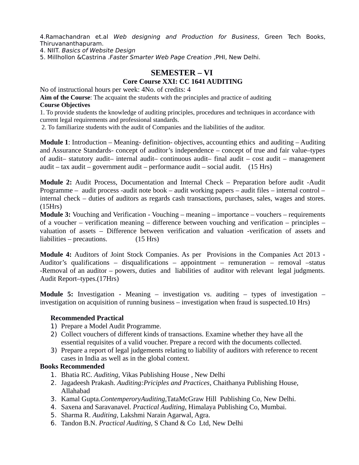4.Ramachandran et.al Web designing and Production for Business, Green Tech Books, Thiruvananthapuram.

4. NIIT. Basics of Website Design

5. Millhollon &Castrina .Faster Smarter Web Page Creation ,PHI, New Delhi.

## **SEMESTER – VI**

## **Core Course XXI: CC 1641 AUDITING**

No of instructional hours per week: 4No. of credits: 4

**Aim of the Course**: The acquaint the students with the principles and practice of auditing **Course Objectives**

1. To provide students the knowledge of auditing principles, procedures and techniques in accordance with current legal requirements and professional standards.

2. To familiarize students with the audit of Companies and the liabilities of the auditor.

**Module 1**: Introduction – Meaning- definition- objectives, accounting ethics and auditing – Auditing and Assurance Standards- concept of auditor's independence – concept of true and fair value–types of audit– statutory audit– internal audit– continuous audit– final audit – cost audit – management audit – tax audit – government audit – performance audit – social audit.  $(15 \text{ Hrs})$ 

**Module 2:** Audit Process, Documentation and Internal Check – Preparation before audit -Audit Programme – audit process -audit note book – audit working papers – audit files – internal control – internal check – duties of auditors as regards cash transactions, purchases, sales, wages and stores. (15Hrs)

**Module 3:** Vouching and Verification - Vouching – meaning – importance – vouchers – requirements of a voucher – verification meaning – difference between vouching and verification – principles – valuation of assets – Difference between verification and valuation -verification of assets and liabilities – precautions. (15 Hrs)

**Module 4:** Auditors of Joint Stock Companies. As per Provisions in the Companies Act 2013 - Auditor's qualifications – disqualifications – appointment – remuneration – removal –status -Removal of an auditor – powers, duties and liabilities of auditor with relevant legal judgments. Audit Report–types.(17Hrs)

**Module 5:** Investigation - Meaning – investigation vs. auditing – types of investigation – investigation on acquisition of running business – investigation when fraud is suspected.10 Hrs)

#### **Recommended Practical**

- 1) Prepare a Model Audit Programme.
- 2) Collect vouchers of different kinds of transactions. Examine whether they have all the essential requisites of a valid voucher. Prepare a record with the documents collected.
- 3) Prepare a report of legal judgements relating to liability of auditors with reference to recent cases in India as well as in the global context.

#### **Books Recommended**

- 1. Bhatia RC. *Auditing,* Vikas Publishing House , New Delhi
- 2. Jagadeesh Prakash. *Auditing:Priciples and Practices*, Chaithanya Publishing House, Allahabad
- 3. Kamal Gupta.*ContemperoryAuditing,*TataMcGraw Hill Publishing Co, New Delhi.
- 4. Saxena and Saravanavel. *Practical Auditing,* Himalaya Publishing Co, Mumbai.
- 5. Sharma R. *Auditing,* Lakshmi Narain Agarwal, Agra.
- 6. Tandon B.N. *Practical Auditing,* S Chand & Co Ltd, New Delhi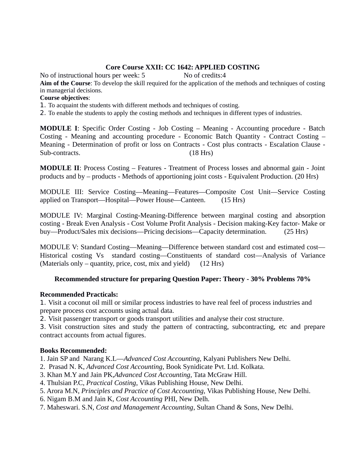## **Core Course XXII: CC 1642: APPLIED COSTING**

No of instructional hours per week: 5 No of credits:4

**Aim of the Course**: To develop the skill required for the application of the methods and techniques of costing in managerial decisions.

#### **Course objectives**:

- 1. To acquaint the students with different methods and techniques of costing.
- 2. To enable the students to apply the costing methods and techniques in different types of industries.

**MODULE I**: Specific Order Costing - Job Costing – Meaning - Accounting procedure - Batch Costing - Meaning and accounting procedure - Economic Batch Quantity - Contract Costing – Meaning - Determination of profit or loss on Contracts - Cost plus contracts - Escalation Clause - Sub-contracts. (18 Hrs)

**MODULE II**: Process Costing – Features - Treatment of Process losses and abnormal gain - Joint products and by – products - Methods of apportioning joint costs - Equivalent Production. (20 Hrs)

MODULE III: Service Costing—Meaning—Features—Composite Cost Unit—Service Costing applied on Transport—Hospital—Power House—Canteen. (15 Hrs)

MODULE IV: Marginal Costing-Meaning-Difference between marginal costing and absorption costing - Break Even Analysis - Cost Volume Profit Analysis - Decision making-Key factor- Make or buy—Product/Sales mix decisions—Pricing decisions—Capacity determination. (25 Hrs)

MODULE V: Standard Costing—Meaning—Difference between standard cost and estimated cost— Historical costing Vs standard costing—Constituents of standard cost—Analysis of Variance (Materials only – quantity, price, cost, mix and yield) (12 Hrs)

## **Recommended structure for preparing Question Paper: Theory - 30% Problems 70%**

## **Recommended Practicals:**

1. Visit a coconut oil mill or similar process industries to have real feel of process industries and prepare process cost accounts using actual data.

2. Visit passenger transport or goods transport utilities and analyse their cost structure.

3. Visit construction sites and study the pattern of contracting, subcontracting, etc and prepare contract accounts from actual figures.

#### **Books Recommended:**

1. Jain SP and Narang K.L—*Advanced Cost Accounting*, Kalyani Publishers New Delhi.

- 2. Prasad N. K, *Advanced Cost Accounting*, Book Synidicate Pvt. Ltd. Kolkata.
- 3. Khan M.Y and Jain PK,*Advanced Cost Accounting,* Tata McGraw Hill.
- 4. Thulsian P.C, *Practical Costing*, Vikas Publishing House, New Delhi.
- 5. Arora M.N, *Principles and Practice of Cost Accounting,* Vikas Publishing House, New Delhi.
- 6. Nigam B.M and Jain K, *Cost Accounting* PHI, New Delh.
- 7. Maheswari. S.N, *Cost and Management Accounting*, Sultan Chand & Sons, New Delhi.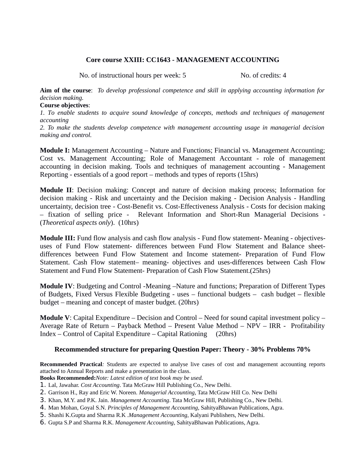#### **Core course XXIII: CC1643 - MANAGEMENT ACCOUNTING**

No. of instructional hours per week: 5 No. of credits: 4

**Aim of the course**: *To develop professional competence and skill in applying accounting information for decision making.*

#### **Course objectives**:

*1. To enable students to acquire sound knowledge of concepts, methods and techniques of management accounting* 

*2. To make the students develop competence with management accounting usage in managerial decision making and control.*

**Module I:** Management Accounting – Nature and Functions; Financial vs. Management Accounting; Cost vs. Management Accounting; Role of Management Accountant - role of management accounting in decision making. Tools and techniques of management accounting - Management Reporting - essentials of a good report – methods and types of reports (15hrs)

**Module II**: Decision making: Concept and nature of decision making process; Information for decision making - Risk and uncertainty and the Decision making - Decision Analysis - Handling uncertainty, decision tree - Cost-Benefit vs. Cost-Effectiveness Analysis - Costs for decision making – fixation of selling price - Relevant Information and Short-Run Managerial Decisions - (*Theoretical aspects only*). (10hrs)

**Module III:** Fund flow analysis and cash flow analysis - Fund flow statement- Meaning - objectivesuses of Fund Flow statement- differences between Fund Flow Statement and Balance sheetdifferences between Fund Flow Statement and Income statement- Preparation of Fund Flow Statement. Cash Flow statement– meaning- objectives and uses-differences between Cash Flow Statement and Fund Flow Statement- Preparation of Cash Flow Statement.(25hrs)

**Module IV**: Budgeting and Control -Meaning –Nature and functions; Preparation of Different Types of Budgets, Fixed Versus Flexible Budgeting - uses – functional budgets – cash budget – flexible budget – meaning and concept of master budget. (20hrs)

**Module V**: Capital Expenditure – Decision and Control – Need for sound capital investment policy – Average Rate of Return – Payback Method – Present Value Method – NPV – IRR - Profitability Index – Control of Capital Expenditure – Capital Rationing (20hrs)

#### **Recommended structure for preparing Question Paper: Theory - 30% Problems 70%**

**Recommended Practical***:* Students are expected to analyse live cases of cost and management accounting reports attached to Annual Reports and make a presentation in the class.

**Books Recommended:***Note: Latest edition of text book may be used.*

- 1. Lal, Jawahar. *Cost Accounting*. Tata McGraw Hill Publishing Co., New Delhi.
- 2. Garrison H., Ray and Eric W. Noreen. *Managerial Accounting*, Tata McGraw Hill Co. New Delhi
- 3. Khan, M.Y. and P.K. Jain. *Management Accounting*. Tata McGraw Hill, Publishing Co., New Delhi.
- 4. Man Mohan, Goyal S.N. *Principles of Management Accounting*, SahityaBhawan Publications, Agra.
- 5. Shashi K.Gupta and Sharma R.K .*Management Accounting*, Kalyani Publishers, New Delhi.
- 6. Gupta S.P and Sharma R.K. *Management Accounting*, SahityaBhawan Publications, Agra.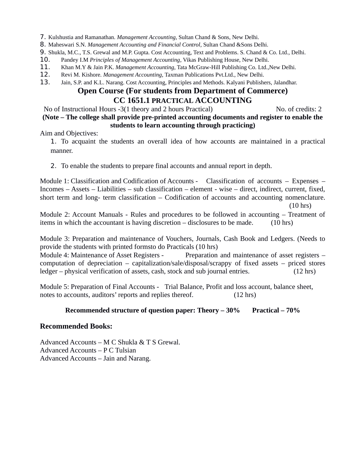- 7. Kulshustia and Ramanathan. *Management Accounting*, Sultan Chand & Sons, New Delhi.
- 8. Maheswari S.N. *Management Accounting and Financial Control*, Sultan Chand &Sons Delhi.
- 9. Shukla, M.C., T.S. Grewal and M.P. Gupta. Cost Accounting, Text and Problems. S. Chand & Co. Ltd., Delhi.
- 10. Pandey I.M *Principles of Management Accounting*, Vikas Publishing House, New Delhi.
- 11. Khan M.Y & Jain P.K. *Management Accounting*, Tata McGraw-Hill Publishing Co. Ltd.,New Delhi.
- 12. Revi M. Kishore. *Management Accounting*, Taxman Publications Pvt.Ltd., New Delhi.
- 13. Jain, S.P. and K.L. Narang. Cost Accounting, Principles and Methods. Kalyani Publishers, Jalandhar.

## **Open Course (For students from Department of Commerce) CC 1651.1 PRACTICAL ACCOUNTING**

No of Instructional Hours -3(1 theory and 2 hours Practical) No. of credits: 2 **(Note – The college shall provide pre-printed accounting documents and register to enable the**

## **students to learn accounting through practicing)**

Aim and Objectives:

1. To acquaint the students an overall idea of how accounts are maintained in a practical manner.

2. To enable the students to prepare final accounts and annual report in depth.

Module 1: Classification and Codification of Accounts - Classification of accounts – Expenses – Incomes – Assets – Liabilities – sub classification – element - wise – direct, indirect, current, fixed, short term and long- term classification – Codification of accounts and accounting nomenclature. (10 hrs)

Module 2: Account Manuals - Rules and procedures to be followed in accounting – Treatment of items in which the accountant is having discretion – disclosures to be made. (10 hrs)

Module 3: Preparation and maintenance of Vouchers, Journals, Cash Book and Ledgers. (Needs to provide the students with printed formsto do Practicals (10 hrs)

Module 4: Maintenance of Asset Registers - Preparation and maintenance of asset registers – computation of depreciation – capitalization/sale/disposal/scrappy of fixed assets – priced stores ledger – physical verification of assets, cash, stock and sub journal entries. (12 hrs)

Module 5: Preparation of Final Accounts - Trial Balance, Profit and loss account, balance sheet, notes to accounts, auditors' reports and replies thereof. (12 hrs)

## **Recommended structure of question paper: Theory – 30% Practical – 70%**

## **Recommended Books:**

Advanced Accounts – M C Shukla & T S Grewal. Advanced Accounts – P C Tulsian Advanced Accounts – Jain and Narang.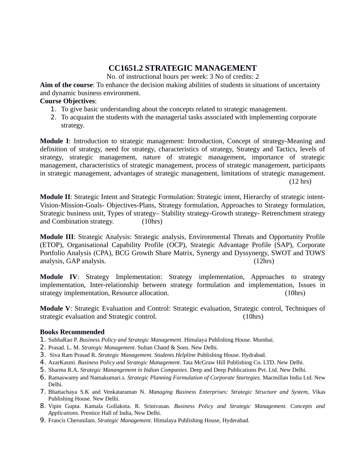# **CC1651.2 STRATEGIC MANAGEMENT**

No. of instructional hours per week: 3 No of credits: 2

**Aim of the course**: To enhance the decision making abilities of students in situations of uncertainty and dynamic business environment.

#### **Course Objectives**:

- 1. To give basic understanding about the concepts related to strategic management.
- 2. To acquaint the students with the managerial tasks associated with implementing corporate strategy.

**Module I**: Introduction to strategic management: Introduction, Concept of strategy-Meaning and definition of strategy, need for strategy, characteristics of strategy, Strategy and Tactics, levels of strategy, strategic management, nature of strategic management, importance of strategic management, characteristics of strategic management, process of strategic management, participants in strategic management, advantages of strategic management, limitations of strategic management. (12 hrs)

**Module II**: Strategic Intent and Strategic Formulation: Strategic intent, Hierarchy of strategic intent-Vision-Mission-Goals- Objectives-Plans, Strategy formulation, Approaches to Strategy formulation, Strategic business unit, Types of strategy– Stability strategy-Growth strategy- Retrenchment strategy and Combination strategy. (10hrs)

**Module III**: Strategic Analysis: Strategic analysis, Environmental Threats and Opportunity Profile (ETOP), Organisational Capability Profile (OCP), Strategic Advantage Profile (SAP), Corporate Portfolio Analysis (CPA), BCG Growth Share Matrix, Synergy and Dyssynergy, SWOT and TOWS analysis, GAP analysis. (12hrs)

**Module IV**: Strategy Implementation: Strategy implementation, Approaches to strategy implementation, Inter-relationship between strategy formulation and implementation, Issues in strategy implementation, Resource allocation. (10hrs)

**Module V**: Strategic Evaluation and Control: Strategic evaluation, Strategic control, Techniques of strategic evaluation and Strategic control. (10hrs)

## **Books Recommended**

- 1. SubhaRao P. *Business Policy and Strategic Management*. Himalaya Publishing House. Mumbai.
- 2. Prasad. L. M. *Strategic Management*. Sultan Chand & Sons. New Delhi.
- 3. Siva Ram Prasad R. *Strategic Management. Students Helpline* Publishing House. Hydrabad.
- 4. AzarKasmi. *Business Policy and Strategic Management*. Tata McGraw Hill Publishing Co. LTD. New Delhi.
- 5. Sharma R.A. *Strategic Manangement in Indian Companies*. Deep and Deep Publications Pvt. Ltd. New Delhi.
- 6. Ramaswamy and Namakumari.s. *Strategic Planning Formulation of Corporate Startegies.* Macmillan India Ltd. New Delhi.
- 7. Bhattachaya S.K and Venkataraman N. *Managing Business Enterprises: Strategic Structure and System,* Vikas Publishing House. New Delhi.
- 8. Vipin Gupta. Kamala Gollakota. R. Srinivasan. *Business Policy and Strategic Management. Concepts and Application*s. Prentice Hall of India, New Delhi.
- 9. Francis Cherunilam. *Strategic Management*. Himalaya Publishing House, Hyderabad.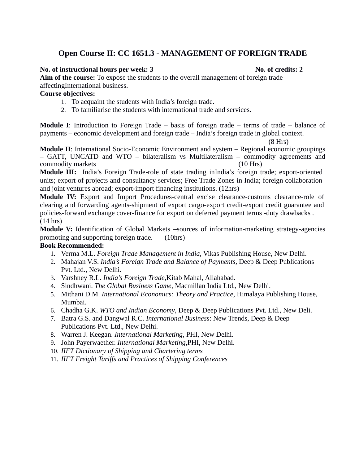# **Open Course II: CC 1651.3 - MANAGEMENT OF FOREIGN TRADE**

#### **No. of instructional hours per week: 3** No. of credits: 2

**Aim of the course:** To expose the students to the overall management of foreign trade affectingInternational business.

## **Course objectives:**

- 1. To acquaint the students with India's foreign trade.
- 2. To familiarise the students with international trade and services.

**Module I**: Introduction to Foreign Trade – basis of foreign trade – terms of trade – balance of payments – economic development and foreign trade – India's foreign trade in global context.

(8 Hrs)

**Module II**: International Socio-Economic Environment and system – Regional economic groupings – GATT, UNCATD and WTO – bilateralism vs Multilateralism – commodity agreements and commodity markets (10 Hrs)

**Module III:** India's Foreign Trade-role of state trading inIndia's foreign trade; export-oriented units; export of projects and consultancy services; Free Trade Zones in India; foreign collaboration and joint ventures abroad; export-import financing institutions. (12hrs)

**Module IV:** Export and Import Procedures-central excise clearance-customs clearance-role of clearing and forwarding agents-shipment of export cargo-export credit-export credit guarantee and policies-forward exchange cover-finance for export on deferred payment terms -duty drawbacks . (14 hrs)

**Module V:** Identification of Global Markets **–**sources of information-marketing strategy-agencies promoting and supporting foreign trade. (10hrs)

## **Book Recommended:**

- 1. Verma M.L. *Foreign Trade Management in India*, Vikas Publishing House, New Delhi.
- 2. Mahajan V.S. *India's Foreign Trade and Balance of Payments,* Deep & Deep Publications Pvt. Ltd., New Delhi.
- 3. Varshney R.L. *India's Foreign Trade,*Kitab Mahal, Allahabad.
- 4. Sindhwani. *The Global Business Game*, Macmillan India Ltd., New Delhi.
- 5. Mithani D.M. *International Economics: Theory and Practice*, Himalaya Publishing House, Mumbai.
- 6. Chadha G.K. *WTO and Indian Economy*, Deep & Deep Publications Pvt. Ltd., New Deli.
- 7. Batra G.S. and Dangwal R.C. *International Business*: New Trends, Deep & Deep Publications Pvt. Ltd., New Delhi.
- 8. Warren J. Keegan. *International Marketing*, PHI, New Delhi.
- 9. John Payerwaether. *International Marketing*,PHI, New Delhi.
- 10. *IIFT Dictionary of Shipping and Chartering terms*
- 11. *IIFT Freight Tariffs and Practices of Shipping Conferences*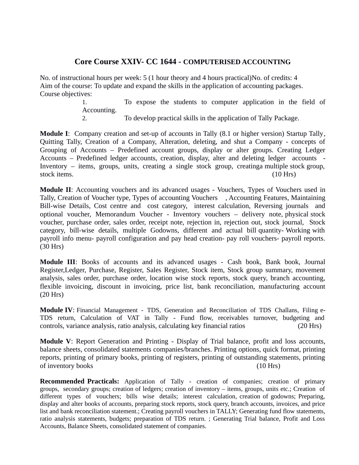## **Core Course XXIV- CC 1644 - COMPUTERISED ACCOUNTING**

No. of instructional hours per week: 5 (1 hour theory and 4 hours practical)No. of credits: 4 Aim of the course: To update and expand the skills in the application of accounting packages. Course objectives:

> 1. To expose the students to computer application in the field of Accounting.

2. To develop practical skills in the application of Tally Package.

**Module I**: Company creation and set-up of accounts in Tally (8.1 or higher version) Startup Tally, Quitting Tally, Creation of a Company, Alteration, deleting, and shut a Company - concepts of Grouping of Accounts – Predefined account groups, display or alter groups. Creating Ledger Accounts – Predefined ledger accounts, creation, display, alter and deleting ledger accounts - Inventory – items, groups, units, creating a single stock group, creatinga multiple stock group, stock items. (10 Hrs)

**Module II**: Accounting vouchers and its advanced usages - Vouchers, Types of Vouchers used in Tally, Creation of Voucher type, Types of accounting Vouchers , Accounting Features, Maintaining Bill-wise Details, Cost centre and cost category, interest calculation, Reversing journals and optional voucher, Memorandum Voucher - Inventory vouchers – delivery note, physical stock voucher, purchase order, sales order, receipt note, rejection in, rejection out, stock journal, Stock category, bill-wise details, multiple Godowns, different and actual bill quantity- Working with payroll info menu- payroll configuration and pay head creation- pay roll vouchers- payroll reports. (30 Hrs)

**Module III**: Books of accounts and its advanced usages - Cash book, Bank book, Journal Register,Ledger, Purchase, Register, Sales Register, Stock item, Stock group summary, movement analysis, sales order, purchase order, location wise stock reports, stock query, branch accounting, flexible invoicing, discount in invoicing, price list, bank reconciliation, manufacturing account (20 Hrs)

**Module IV**: Financial Management - TDS, Generation and Reconciliation of TDS Challans, Filing e-TDS return, Calculation of VAT in Tally - Fund flow, receivables turnover, budgeting and controls, variance analysis, ratio analysis, calculating key financial ratios (20 Hrs)

**Module V**: Report Generation and Printing - Display of Trial balance, profit and loss accounts, balance sheets, consolidated statements companies/branches. Printing options, quick format, printing reports, printing of primary books, printing of registers, printing of outstanding statements, printing of inventory books (10 Hrs)

**Recommended Practicals:** Application of Tally - creation of companies; creation of primary groups, secondary groups; creation of ledgers; creation of inventory – items, groups, units etc.; Creation of different types of vouchers; bills wise details; interest calculation, creation of godowns; Preparing, display and alter books of accounts, preparing stock reports, stock query, branch accounts, invoices, and price list and bank reconciliation statement.; Creating payroll vouchers in TALLY; Generating fund flow statements, ratio analysis statements, budgets; preparation of TDS return. ; Generating Trial balance, Profit and Loss Accounts, Balance Sheets, consolidated statement of companies.